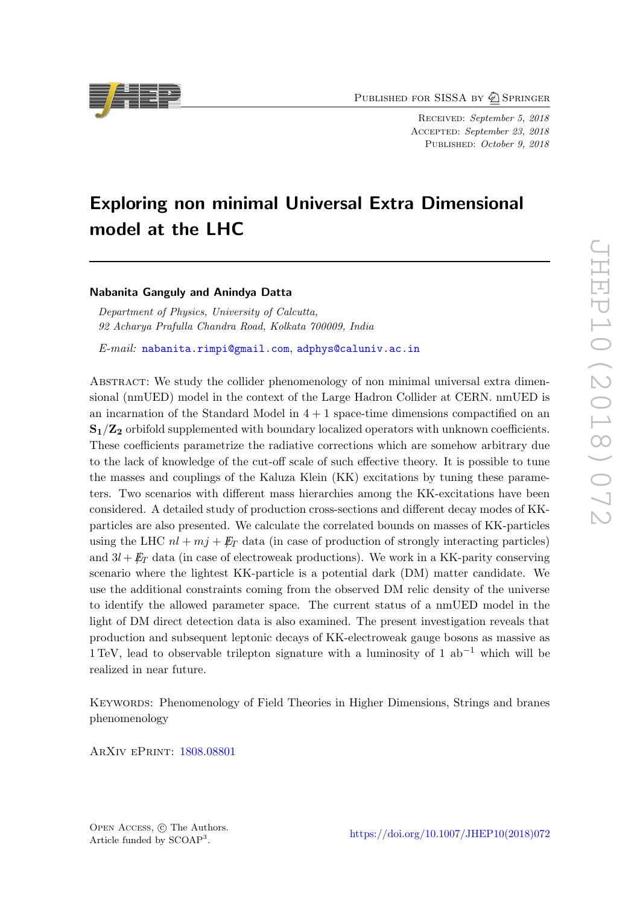PUBLISHED FOR SISSA BY 2 SPRINGER

Received: September 5, 2018 ACCEPTED: September 23, 2018 PUBLISHED: October 9, 2018

# Exploring non minimal Universal Extra Dimensional model at the LHC

# Nabanita Ganguly and Anindya Datta

Department of Physics, University of Calcutta, 92 Acharya Prafulla Chandra Road, Kolkata 700009, India

E-mail: [nabanita.rimpi@gmail.com](mailto:nabanita.rimpi@gmail.com), [adphys@caluniv.ac.in](mailto:adphys@caluniv.ac.in)

Abstract: We study the collider phenomenology of non minimal universal extra dimensional (nmUED) model in the context of the Large Hadron Collider at CERN. nmUED is an incarnation of the Standard Model in  $4 + 1$  space-time dimensions compactified on an  $S_1/Z_2$  orbifold supplemented with boundary localized operators with unknown coefficients. These coefficients parametrize the radiative corrections which are somehow arbitrary due to the lack of knowledge of the cut-off scale of such effective theory. It is possible to tune the masses and couplings of the Kaluza Klein (KK) excitations by tuning these parameters. Two scenarios with different mass hierarchies among the KK-excitations have been considered. A detailed study of production cross-sections and different decay modes of KKparticles are also presented. We calculate the correlated bounds on masses of KK-particles using the LHC  $nl + mj + \not{E}_T$  data (in case of production of strongly interacting particles) and  $3l + \not{E}_T$  data (in case of electroweak productions). We work in a KK-parity conserving scenario where the lightest KK-particle is a potential dark (DM) matter candidate. We use the additional constraints coming from the observed DM relic density of the universe to identify the allowed parameter space. The current status of a nmUED model in the light of DM direct detection data is also examined. The present investigation reveals that production and subsequent leptonic decays of KK-electroweak gauge bosons as massive as 1 TeV, lead to observable trilepton signature with a luminosity of 1 ab−<sup>1</sup> which will be realized in near future.

KEYWORDS: Phenomenology of Field Theories in Higher Dimensions, Strings and branes phenomenology

ArXiv ePrint: [1808.08801](https://arxiv.org/abs/1808.08801)



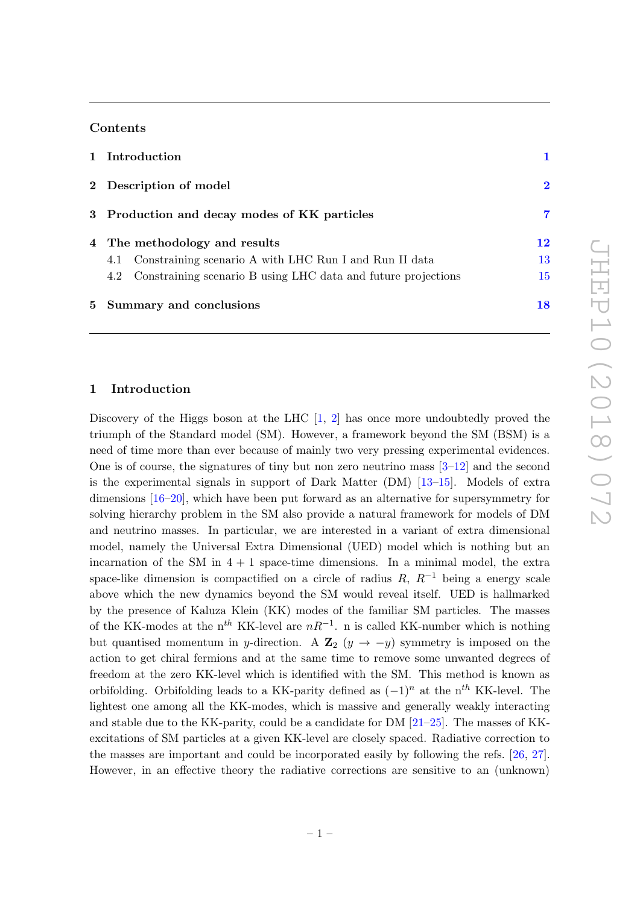### Contents

| 1 Introduction                                                    |          |
|-------------------------------------------------------------------|----------|
| 2 Description of model                                            | $\bf{2}$ |
| 3 Production and decay modes of KK particles                      | 7        |
| 4 The methodology and results                                     | 12       |
| Constraining scenario A with LHC Run I and Run II data<br>4.1     | 13       |
| 4.2 Constraining scenario B using LHC data and future projections | 15       |
| 5 Summary and conclusions                                         | 18       |

## <span id="page-1-0"></span>1 Introduction

Discovery of the Higgs boson at the LHC  $[1, 2]$  $[1, 2]$  has once more undoubtedly proved the triumph of the Standard model (SM). However, a framework beyond the SM (BSM) is a need of time more than ever because of mainly two very pressing experimental evidences. One is of course, the signatures of tiny but non zero neutrino mass  $[3-12]$  and the second is the experimental signals in support of Dark Matter (DM) [\[13–](#page-20-1)[15\]](#page-20-2). Models of extra dimensions [\[16–](#page-20-3)[20\]](#page-20-4), which have been put forward as an alternative for supersymmetry for solving hierarchy problem in the SM also provide a natural framework for models of DM and neutrino masses. In particular, we are interested in a variant of extra dimensional model, namely the Universal Extra Dimensional (UED) model which is nothing but an incarnation of the SM in  $4 + 1$  space-time dimensions. In a minimal model, the extra space-like dimension is compactified on a circle of radius R,  $R^{-1}$  being a energy scale above which the new dynamics beyond the SM would reveal itself. UED is hallmarked by the presence of Kaluza Klein (KK) modes of the familiar SM particles. The masses of the KK-modes at the n<sup>th</sup> KK-level are  $nR^{-1}$ . n is called KK-number which is nothing but quantised momentum in y-direction. A  $\mathbb{Z}_2$  (y  $\rightarrow -y$ ) symmetry is imposed on the action to get chiral fermions and at the same time to remove some unwanted degrees of freedom at the zero KK-level which is identified with the SM. This method is known as orbifolding. Orbifolding leads to a KK-parity defined as  $(-1)^n$  at the n<sup>th</sup> KK-level. The lightest one among all the KK-modes, which is massive and generally weakly interacting and stable due to the KK-parity, could be a candidate for DM  $[21-25]$  $[21-25]$ . The masses of KKexcitations of SM particles at a given KK-level are closely spaced. Radiative correction to the masses are important and could be incorporated easily by following the refs. [\[26,](#page-21-1) [27\]](#page-21-2). However, in an effective theory the radiative corrections are sensitive to an (unknown)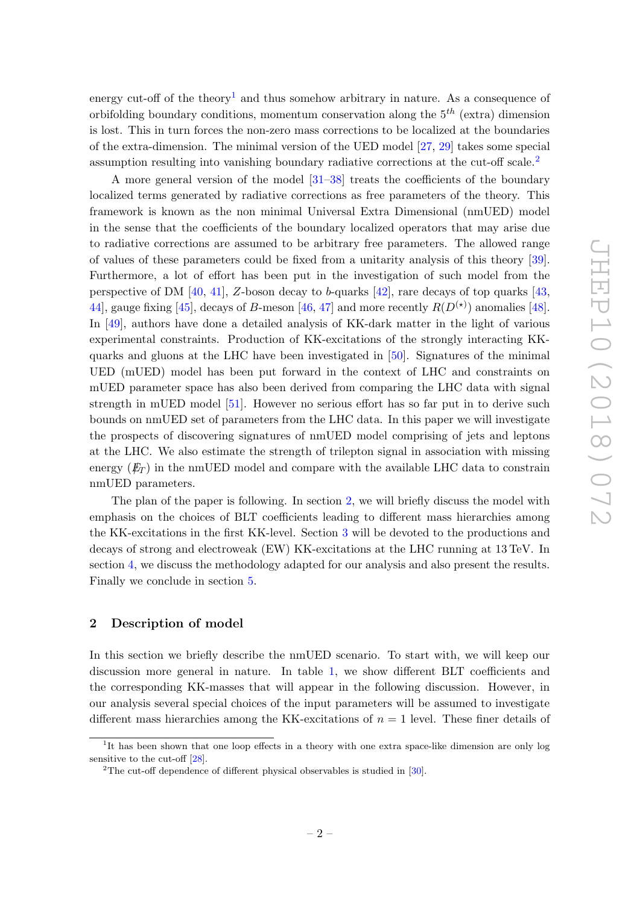energy cut-off of the theory<sup>[1](#page-2-1)</sup> and thus somehow arbitrary in nature. As a consequence of orbifolding boundary conditions, momentum conservation along the  $5<sup>th</sup>$  (extra) dimension is lost. This in turn forces the non-zero mass corrections to be localized at the boundaries of the extra-dimension. The minimal version of the UED model [\[27,](#page-21-2) [29\]](#page-21-3) takes some special assumption resulting into vanishing boundary radiative corrections at the cut-off scale.[2](#page-2-2)

A more general version of the model [\[31–](#page-21-4)[38\]](#page-21-5) treats the coefficients of the boundary localized terms generated by radiative corrections as free parameters of the theory. This framework is known as the non minimal Universal Extra Dimensional (nmUED) model in the sense that the coefficients of the boundary localized operators that may arise due to radiative corrections are assumed to be arbitrary free parameters. The allowed range of values of these parameters could be fixed from a unitarity analysis of this theory [\[39\]](#page-21-6). Furthermore, a lot of effort has been put in the investigation of such model from the perspective of DM [\[40,](#page-21-7) [41\]](#page-22-0), Z-boson decay to b-quarks [\[42\]](#page-22-1), rare decays of top quarks [\[43,](#page-22-2) [44\]](#page-22-3), gauge fixing [\[45\]](#page-22-4), decays of B-meson [\[46,](#page-22-5) [47\]](#page-22-6) and more recently  $R(D^{(*)})$  anomalies [\[48\]](#page-22-7). In [\[49\]](#page-22-8), authors have done a detailed analysis of KK-dark matter in the light of various experimental constraints. Production of KK-excitations of the strongly interacting KKquarks and gluons at the LHC have been investigated in [\[50\]](#page-22-9). Signatures of the minimal UED (mUED) model has been put forward in the context of LHC and constraints on mUED parameter space has also been derived from comparing the LHC data with signal strength in mUED model [\[51\]](#page-22-10). However no serious effort has so far put in to derive such bounds on nmUED set of parameters from the LHC data. In this paper we will investigate the prospects of discovering signatures of nmUED model comprising of jets and leptons at the LHC. We also estimate the strength of trilepton signal in association with missing energy  $(E_T)$  in the nmUED model and compare with the available LHC data to constrain nmUED parameters.

The plan of the paper is following. In section [2,](#page-2-0) we will briefly discuss the model with emphasis on the choices of BLT coefficients leading to different mass hierarchies among the KK-excitations in the first KK-level. Section [3](#page-7-0) will be devoted to the productions and decays of strong and electroweak (EW) KK-excitations at the LHC running at 13 TeV. In section [4,](#page-12-0) we discuss the methodology adapted for our analysis and also present the results. Finally we conclude in section [5.](#page-18-0)

# <span id="page-2-0"></span>2 Description of model

In this section we briefly describe the nmUED scenario. To start with, we will keep our discussion more general in nature. In table [1,](#page-3-0) we show different BLT coefficients and the corresponding KK-masses that will appear in the following discussion. However, in our analysis several special choices of the input parameters will be assumed to investigate different mass hierarchies among the KK-excitations of  $n = 1$  level. These finer details of

<span id="page-2-1"></span><sup>&</sup>lt;sup>1</sup>It has been shown that one loop effects in a theory with one extra space-like dimension are only log sensitive to the cut-off [\[28\]](#page-21-8).

<span id="page-2-2"></span><sup>&</sup>lt;sup>2</sup>The cut-off dependence of different physical observables is studied in  $[30]$ .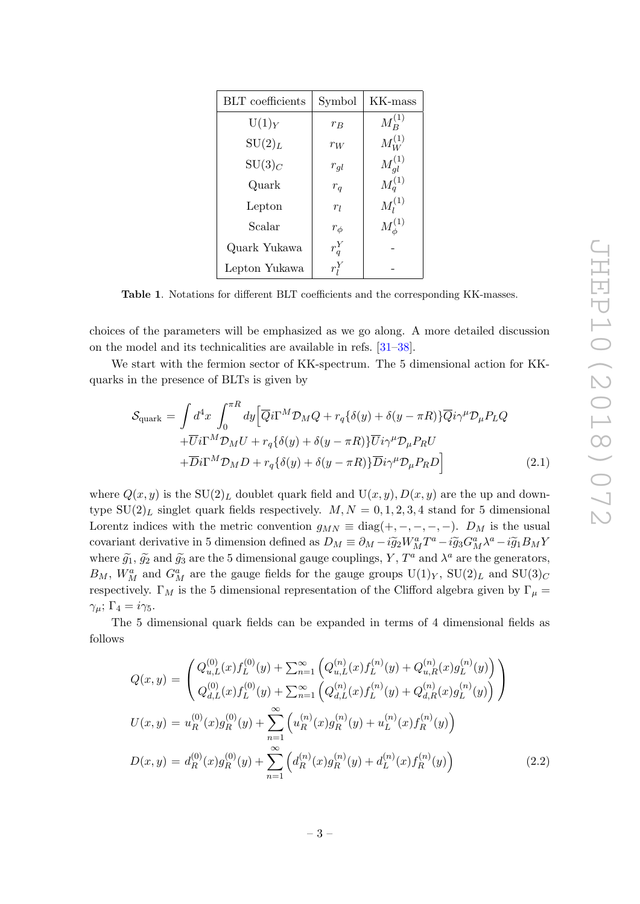| <b>BLT</b> coefficients | Symbol     | KK-mass          |
|-------------------------|------------|------------------|
| $U(1)_Y$                | $r_B$      | $M^{(1)}_{B}$    |
| $\mathrm{SU}(2)_L$      | $r_W$      | $M_W^{(1)}$      |
| $\mathrm{SU}(3)_C$      | $r_{gl}$   | $M_{ql}^{(1)}$   |
| Quark                   | $r_q$      | $M_q^{(1)}$      |
| Lepton                  | $r_l$      | $M_l^{(1)}$      |
| Scalar                  | $r_{\phi}$ | $M_{\phi}^{(1)}$ |
| Quark Yukawa            | $r_q^Y$    |                  |
| Lepton Yukawa           | $r_i^I$    |                  |

<span id="page-3-0"></span>Table 1. Notations for different BLT coefficients and the corresponding KK-masses.

choices of the parameters will be emphasized as we go along. A more detailed discussion on the model and its technicalities are available in refs. [\[31](#page-21-4)[–38\]](#page-21-5).

We start with the fermion sector of KK-spectrum. The 5 dimensional action for KKquarks in the presence of BLTs is given by

$$
S_{\text{quark}} = \int d^4x \int_0^{\pi R} dy \Big[ \overline{Q}i\Gamma^M \mathcal{D}_M Q + r_q \{\delta(y) + \delta(y - \pi R)\} \overline{Q}i\gamma^\mu \mathcal{D}_\mu P_L Q + \overline{U}i\Gamma^M \mathcal{D}_M U + r_q \{\delta(y) + \delta(y - \pi R)\} \overline{U}i\gamma^\mu \mathcal{D}_\mu P_R U + \overline{D}i\Gamma^M \mathcal{D}_M D + r_q \{\delta(y) + \delta(y - \pi R)\} \overline{D}i\gamma^\mu \mathcal{D}_\mu P_R D \Big]
$$
(2.1)

where  $Q(x, y)$  is the SU(2)<sub>L</sub> doublet quark field and U(x, y),  $D(x, y)$  are the up and downtype  $SU(2)_L$  singlet quark fields respectively.  $M, N = 0, 1, 2, 3, 4$  stand for 5 dimensional Lorentz indices with the metric convention  $g_{MN} \equiv \text{diag}(+,-,-,-,-)$ .  $D_M$  is the usual covariant derivative in 5 dimension defined as  $D_M \equiv \partial_M - i \tilde{g}_2 W_M^a T^a - i \tilde{g}_3 G_M^a \lambda^a - i \tilde{g}_1 B_M Y$ where  $\tilde{g}_1$ ,  $\tilde{g}_2$  and  $\tilde{g}_3$  are the 5 dimensional gauge couplings, Y,  $T^a$  and  $\lambda^a$  are the generators,  $B_M$ ,  $W_M^a$  and  $G_M^a$  are the gauge fields for the gauge groups  $U(1)_Y$ ,  $SU(2)_L$  and  $SU(3)_C$ respectively.  $\Gamma_M$  is the 5 dimensional representation of the Clifford algebra given by  $\Gamma_\mu$  =  $\gamma_{\mu}$ ;  $\Gamma_4 = i\gamma_5$ .

The 5 dimensional quark fields can be expanded in terms of 4 dimensional fields as follows

<span id="page-3-1"></span>
$$
Q(x,y) = \begin{pmatrix} Q_{u,L}^{(0)}(x)f_L^{(0)}(y) + \sum_{n=1}^{\infty} \left( Q_{u,L}^{(n)}(x)f_L^{(n)}(y) + Q_{u,R}^{(n)}(x)g_L^{(n)}(y) \right) \\ Q_{d,L}^{(0)}(x)f_L^{(0)}(y) + \sum_{n=1}^{\infty} \left( Q_{d,L}^{(n)}(x)f_L^{(n)}(y) + Q_{d,R}^{(n)}(x)g_L^{(n)}(y) \right) \end{pmatrix}
$$
  
\n
$$
U(x,y) = u_R^{(0)}(x)g_R^{(0)}(y) + \sum_{n=1}^{\infty} \left( u_R^{(n)}(x)g_R^{(n)}(y) + u_L^{(n)}(x)f_R^{(n)}(y) \right)
$$
  
\n
$$
D(x,y) = d_R^{(0)}(x)g_R^{(0)}(y) + \sum_{n=1}^{\infty} \left( d_R^{(n)}(x)g_R^{(n)}(y) + d_L^{(n)}(x)f_R^{(n)}(y) \right)
$$
(2.2)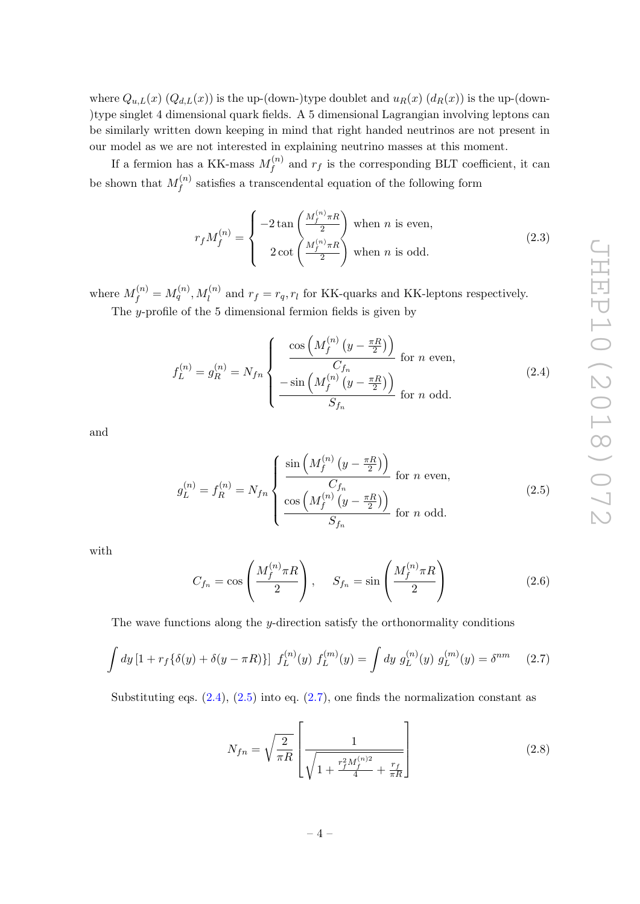where  $Q_{u,L}(x)$   $(Q_{d,L}(x))$  is the up-(down-)type doublet and  $u_R(x)$   $(d_R(x))$  is the up-(down-)type singlet 4 dimensional quark fields. A 5 dimensional Lagrangian involving leptons can be similarly written down keeping in mind that right handed neutrinos are not present in our model as we are not interested in explaining neutrino masses at this moment.

If a fermion has a KK-mass  $M_f^{(n)}$  $f_f^{(n)}$  and  $r_f$  is the corresponding BLT coefficient, it can be shown that  $M_f^{(n)}$  $f_f^{(n)}$  satisfies a transcendental equation of the following form

<span id="page-4-3"></span>
$$
r_f M_f^{(n)} = \begin{cases} -2 \tan\left(\frac{M_f^{(n)} \pi R}{2}\right) & \text{when } n \text{ is even,} \\ 2 \cot\left(\frac{M_f^{(n)} \pi R}{2}\right) & \text{when } n \text{ is odd.} \end{cases}
$$
 (2.3)

where  $M_f^{(n)} = M_q^{(n)}$ ,  $M_l^{(n)}$  and  $r_f = r_q$ ,  $r_l$  for KK-quarks and KK-leptons respectively.

The y-profile of the 5 dimensional fermion fields is given by

<span id="page-4-0"></span>
$$
f_L^{(n)} = g_R^{(n)} = N_{fn} \begin{cases} \frac{\cos\left(M_f^{(n)}\left(y - \frac{\pi R}{2}\right)\right)}{C_{fn}} & \text{for } n \text{ even,} \\ \frac{-\sin\left(M_f^{(n)}\left(y - \frac{\pi R}{2}\right)\right)}{S_{fn}} & \text{for } n \text{ odd.} \end{cases}
$$
(2.4)

and

<span id="page-4-1"></span>
$$
g_L^{(n)} = f_R^{(n)} = N_{fn} \begin{cases} \frac{\sin \left( M_f^{(n)} \left( y - \frac{\pi R}{2} \right) \right)}{C_{fn}} & \text{for } n \text{ even,} \\ \frac{\cos \left( M_f^{(n)} \left( y - \frac{\pi R}{2} \right) \right)}{S_{fn}} & \text{for } n \text{ odd.} \end{cases}
$$
(2.5)

with

$$
C_{f_n} = \cos\left(\frac{M_f^{(n)}\pi R}{2}\right), \quad S_{f_n} = \sin\left(\frac{M_f^{(n)}\pi R}{2}\right) \tag{2.6}
$$

The wave functions along the y-direction satisfy the orthonormality conditions

<span id="page-4-2"></span>
$$
\int dy \left[1 + r_f \{\delta(y) + \delta(y - \pi R)\}\right] f_L^{(n)}(y) f_L^{(m)}(y) = \int dy \ g_L^{(n)}(y) g_L^{(m)}(y) = \delta^{nm} \tag{2.7}
$$

Substituting eqs.  $(2.4)$ ,  $(2.5)$  into eq.  $(2.7)$ , one finds the normalization constant as

<span id="page-4-4"></span>
$$
N_{fn} = \sqrt{\frac{2}{\pi R}} \left[ \frac{1}{\sqrt{1 + \frac{r_f^2 M_f^{(n)2}}{4} + \frac{r_f}{\pi R}}} \right]
$$
(2.8)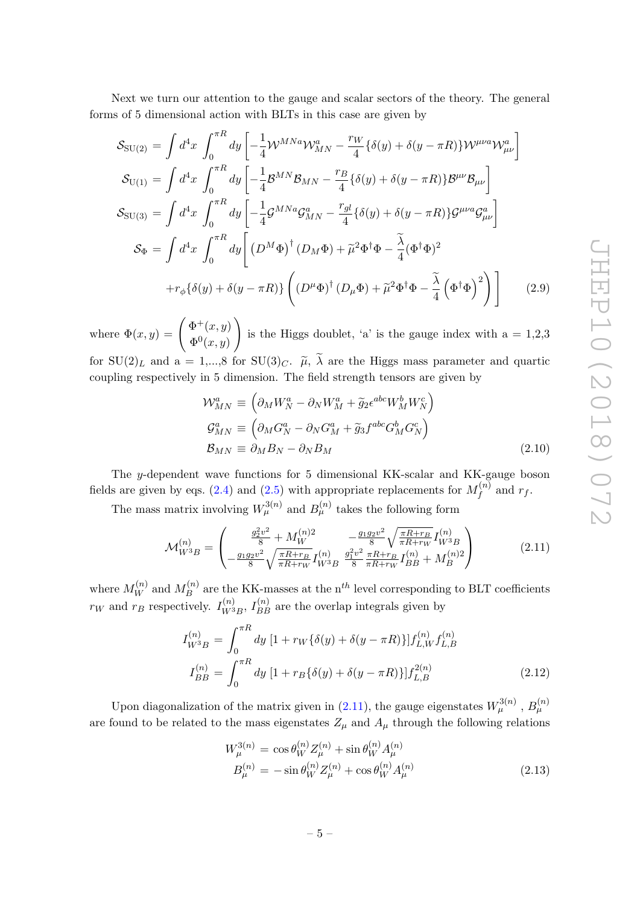Next we turn our attention to the gauge and scalar sectors of the theory. The general forms of 5 dimensional action with BLTs in this case are given by

$$
S_{\text{SU}(2)} = \int d^4x \int_0^{\pi R} dy \left[ -\frac{1}{4} \mathcal{W}^{MNa} \mathcal{W}_{MN}^a - \frac{r_W}{4} \{ \delta(y) + \delta(y - \pi R) \} \mathcal{W}^{\mu\nu a} \mathcal{W}_{\mu\nu}^a \right]
$$
  
\n
$$
S_{\text{U}(1)} = \int d^4x \int_0^{\pi R} dy \left[ -\frac{1}{4} \mathcal{B}^{MN} \mathcal{B}_{MN} - \frac{r_B}{4} \{ \delta(y) + \delta(y - \pi R) \} \mathcal{B}^{\mu\nu} \mathcal{B}_{\mu\nu} \right]
$$
  
\n
$$
S_{\text{SU}(3)} = \int d^4x \int_0^{\pi R} dy \left[ -\frac{1}{4} \mathcal{G}^{MNa} \mathcal{G}_{MN}^a - \frac{r_{gl}}{4} \{ \delta(y) + \delta(y - \pi R) \} \mathcal{G}^{\mu\nu a} \mathcal{G}_{\mu\nu}^a \right]
$$
  
\n
$$
S_{\Phi} = \int d^4x \int_0^{\pi R} dy \left[ (D^M \Phi)^{\dagger} (D_M \Phi) + \tilde{\mu}^2 \Phi^{\dagger} \Phi - \frac{\tilde{\lambda}}{4} (\Phi^{\dagger} \Phi)^2 + r_{\phi} \{ \delta(y) + \delta(y - \pi R) \} \left( (D^{\mu} \Phi)^{\dagger} (D_{\mu} \Phi) + \tilde{\mu}^2 \Phi^{\dagger} \Phi - \frac{\tilde{\lambda}}{4} (\Phi^{\dagger} \Phi)^2 \right) \right]
$$
(2.9)

where  $\Phi(x,y) = \begin{pmatrix} \Phi^+(x,y) \\ \Phi^+(x,y) \end{pmatrix}$  $\Phi^0(x,y)$  $\setminus$ is the Higgs doublet, 'a' is the gauge index with  $a = 1,2,3$ for  $SU(2)_L$  and a = 1,...,8 for  $SU(3)_C$ .  $\tilde{\mu}$ ,  $\tilde{\lambda}$  are the Higgs mass parameter and quartic coupling respectively in 5 dimension. The field strength tensors are given by

$$
\mathcal{W}_{MN}^{a} \equiv \left( \partial_{M} W_{N}^{a} - \partial_{N} W_{M}^{a} + \tilde{g}_{2} \epsilon^{abc} W_{M}^{b} W_{N}^{c} \right)
$$
  
\n
$$
\mathcal{G}_{MN}^{a} \equiv \left( \partial_{M} G_{N}^{a} - \partial_{N} G_{M}^{a} + \tilde{g}_{3} f^{abc} G_{M}^{b} G_{N}^{c} \right)
$$
  
\n
$$
\mathcal{B}_{MN} \equiv \partial_{M} B_{N} - \partial_{N} B_{M}
$$
\n(2.10)

The y-dependent wave functions for 5 dimensional KK-scalar and KK-gauge boson fields are given by eqs. [\(2.4\)](#page-4-0) and [\(2.5\)](#page-4-1) with appropriate replacements for  $M_f^{(n)}$  $f_f^{(n)}$  and  $r_f$ .

The mass matrix involving  $W_\mu^{3(n)}$  and  $B_\mu^{(n)}$  takes the following form

<span id="page-5-0"></span>
$$
\mathcal{M}_{W^{3}B}^{(n)} = \begin{pmatrix} \frac{g_{2}^{2}v^{2}}{8} + M_{W}^{(n)2} & -\frac{g_{1}g_{2}v^{2}}{8} \sqrt{\frac{\pi R + r_{B}}{\pi R + r_{W}}} I_{W^{3}B}^{(n)} \\ -\frac{g_{1}g_{2}v^{2}}{8} \sqrt{\frac{\pi R + r_{B}}{\pi R + r_{W}}} I_{W^{3}B}^{(n)} & \frac{g_{1}^{2}v^{2}}{8} \frac{\pi R + r_{B}}{\pi R + r_{W}} I_{BB}^{(n)} + M_{B}^{(n)2} \end{pmatrix}
$$
(2.11)

where  $M_W^{(n)}$  and  $M_B^{(n)}$  $B_B^{(n)}$  are the KK-masses at the n<sup>th</sup> level corresponding to BLT coefficients  $r_W$  and  $r_B$  respectively.  $I_{W^3}^{(n)}$  $\binom{n}{W^3B}$ ,  $I_{BB}^{(n)}$  are the overlap integrals given by

$$
I_{W^{3}B}^{(n)} = \int_{0}^{\pi R} dy \left[ 1 + r_{W} \{ \delta(y) + \delta(y - \pi R) \} \right] f_{L,W}^{(n)} f_{L,B}^{(n)}
$$

$$
I_{BB}^{(n)} = \int_{0}^{\pi R} dy \left[ 1 + r_{B} \{ \delta(y) + \delta(y - \pi R) \} \right] f_{L,B}^{2(n)} \tag{2.12}
$$

Upon diagonalization of the matrix given in [\(2.11\)](#page-5-0), the gauge eigenstates  $W_\mu^{3(n)}$  ,  $B_\mu^{(n)}$ are found to be related to the mass eigenstates  $Z_{\mu}$  and  $A_{\mu}$  through the following relations

<span id="page-5-1"></span>
$$
W_{\mu}^{3(n)} = \cos \theta_W^{(n)} Z_{\mu}^{(n)} + \sin \theta_W^{(n)} A_{\mu}^{(n)}
$$
  

$$
B_{\mu}^{(n)} = -\sin \theta_W^{(n)} Z_{\mu}^{(n)} + \cos \theta_W^{(n)} A_{\mu}^{(n)}
$$
(2.13)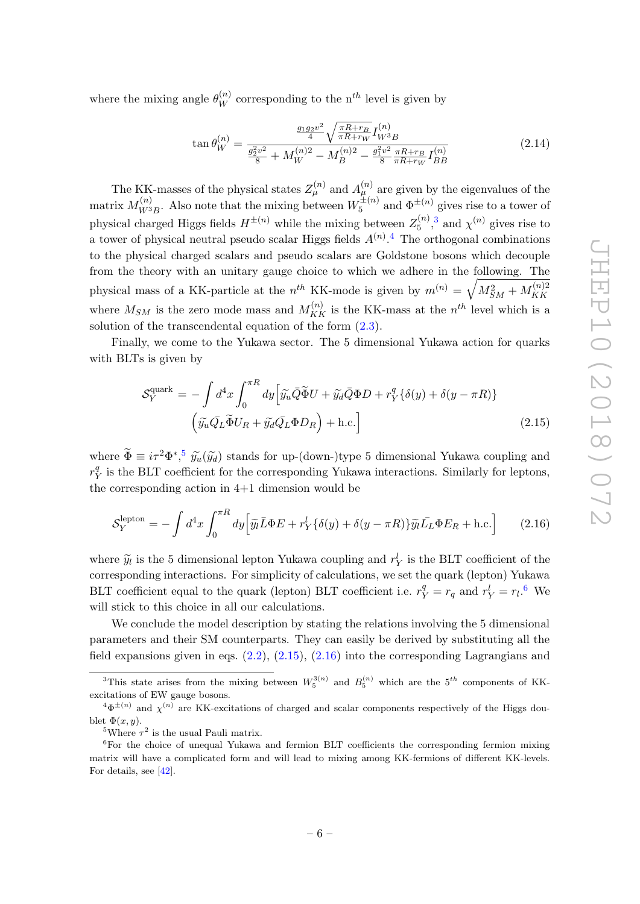where the mixing angle  $\theta_W^{(n)}$  corresponding to the n<sup>th</sup> level is given by

<span id="page-6-6"></span>
$$
\tan \theta_W^{(n)} = \frac{\frac{g_1 g_2 v^2}{4} \sqrt{\frac{\pi R + r_B}{\pi R + r_W}} I_{W^3 B}^{(n)}}{g_2^2 v^2 + M_W^{(n)2} - M_B^{(n)2} - \frac{g_1^2 v^2}{8} \frac{\pi R + r_B}{\pi R + r_W} I_{BB}^{(n)}} \tag{2.14}
$$

The KK-masses of the physical states  $Z_{\mu}^{(n)}$  and  $A_{\mu}^{(n)}$  are given by the eigenvalues of the matrix  $M_{W^3}^{(n)}$  $\chi^{(n)}_{W^3B}$ . Also note that the mixing between  $W_5^{\pm(n)}$  $\mathfrak{s}^{\pm(n)}$  and  $\Phi^{\pm(n)}$  gives rise to a tower of physical charged Higgs fields  $H^{\pm(n)}$  while the mixing between  $Z_5^{(n)}$  $\chi^{(n)}$ , [3](#page-6-0) and  $\chi^{(n)}$  gives rise to a tower of physical neutral pseudo scalar Higgs fields  $A^{(n)}$ .<sup>[4](#page-6-1)</sup> The orthogonal combinations to the physical charged scalars and pseudo scalars are Goldstone bosons which decouple from the theory with an unitary gauge choice to which we adhere in the following. The physical mass of a KK-particle at the  $n^{th}$  KK-mode is given by  $m^{(n)} = \sqrt{M_{SM}^2 + M_{KK}^{(n)2}}$ KK where  $M_{SM}$  is the zero mode mass and  $M_{KK}^{(n)}$  is the KK-mass at the  $n^{th}$  level which is a solution of the transcendental equation of the form [\(2.3\)](#page-4-3).

Finally, we come to the Yukawa sector. The 5 dimensional Yukawa action for quarks with BLTs is given by

<span id="page-6-4"></span>
$$
\mathcal{S}_{Y}^{\text{quark}} = -\int d^{4}x \int_{0}^{\pi R} dy \Big[ \tilde{y}_{u} \bar{Q} \tilde{\Phi} U + \tilde{y}_{d} \bar{Q} \Phi D + r_{Y}^{q} \{ \delta(y) + \delta(y - \pi R) \} \Big] \Big( \tilde{y}_{u} \bar{Q}_{L} \tilde{\Phi} U_{R} + \tilde{y}_{d} \bar{Q}_{L} \Phi D_{R} \Big) + \text{h.c.} \Big]
$$
(2.15)

where  $\widetilde{\Phi} \equiv i\tau^2 \Phi^{*,5}$  $\widetilde{\Phi} \equiv i\tau^2 \Phi^{*,5}$  $\widetilde{\Phi} \equiv i\tau^2 \Phi^{*,5}$   $\widetilde{y}_u(\widetilde{y}_d)$  stands for up-(down-)type 5 dimensional Yukawa coupling and  $r_{\rm V}^q$  $\frac{q}{Y}$  is the BLT coefficient for the corresponding Yukawa interactions. Similarly for leptons, the corresponding action in 4+1 dimension would be

<span id="page-6-5"></span>
$$
S_Y^{\text{lepton}} = -\int d^4x \int_0^{\pi R} dy \Big[ \tilde{y}_l \bar{L} \Phi E + r_Y^l \{ \delta(y) + \delta(y - \pi R) \} \tilde{y}_l \bar{L}_L \Phi E_R + \text{h.c.} \Big] \tag{2.16}
$$

where  $\tilde{y}_l$  is the 5 dimensional lepton Yukawa coupling and  $r_Y^l$  is the BLT coefficient of the corresponding interactions. For simplicity of calculations, we set the quark (lepton) Yukawa BLT coefficient equal to the quark (lepton) BLT coefficient i.e.  $r_Y^q = r_q$  and  $r_Y^l = r_l$ .<sup>[6](#page-6-3)</sup> We will stick to this choice in all our calculations.

We conclude the model description by stating the relations involving the 5 dimensional parameters and their SM counterparts. They can easily be derived by substituting all the field expansions given in eqs.  $(2.2)$ ,  $(2.15)$ ,  $(2.16)$  into the corresponding Lagrangians and

<span id="page-6-0"></span><sup>&</sup>lt;sup>3</sup>This state arises from the mixing between  $W_5^{3(n)}$  and  $B_5^{(n)}$  which are the 5<sup>th</sup> components of KKexcitations of EW gauge bosons.

<span id="page-6-1"></span> ${}^4\Phi^{\pm(n)}$  and  $\chi^{(n)}$  are KK-excitations of charged and scalar components respectively of the Higgs doublet  $\Phi(x, y)$ .

<span id="page-6-3"></span><span id="page-6-2"></span><sup>&</sup>lt;sup>5</sup>Where  $\tau^2$  is the usual Pauli matrix.

<sup>&</sup>lt;sup>6</sup>For the choice of unequal Yukawa and fermion BLT coefficients the corresponding fermion mixing matrix will have a complicated form and will lead to mixing among KK-fermions of different KK-levels. For details, see [\[42\]](#page-22-1).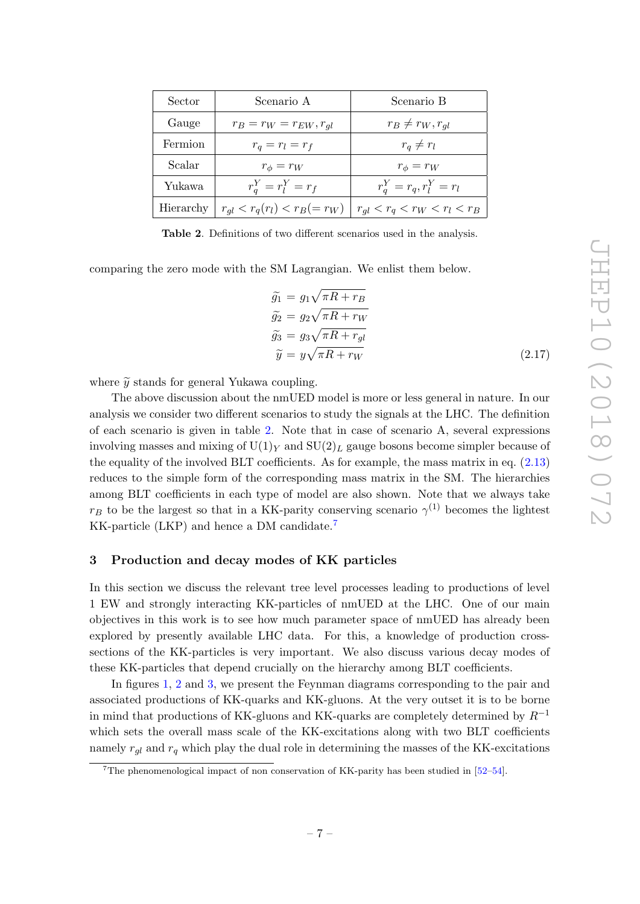| Sector    | Scenario A                        | Scenario B                       |
|-----------|-----------------------------------|----------------------------------|
| Gauge     | $r_B = r_W = r_{EW}, r_{gl}$      | $r_B \neq r_W, r_{ql}$           |
| Fermion   | $r_q = r_l = r_f$                 | $r_q \neq r_l$                   |
| Scalar    | $r_{\phi}=r_W$                    | $r_{\phi}=r_W$                   |
| Yukawa    | $r_a^Y = r_l^Y = r_f$             | $r_q^Y = r_q, r_l^Y = r_l$       |
| Hierarchy | $r_{ql} < r_q(r_l) < r_B (= r_W)$ | $r_{ql} < r_q < r_W < r_l < r_B$ |

<span id="page-7-1"></span>Table 2. Definitions of two different scenarios used in the analysis.

comparing the zero mode with the SM Lagrangian. We enlist them below.

$$
\widetilde{g}_1 = g_1 \sqrt{\pi R + r_B} \n\widetilde{g}_2 = g_2 \sqrt{\pi R + r_W} \n\widetilde{g}_3 = g_3 \sqrt{\pi R + r_{gl}} \n\widetilde{y} = y \sqrt{\pi R + r_W}
$$
\n(2.17)

where  $\tilde{y}$  stands for general Yukawa coupling.

The above discussion about the nmUED model is more or less general in nature. In our analysis we consider two different scenarios to study the signals at the LHC. The definition of each scenario is given in table [2.](#page-7-1) Note that in case of scenario A, several expressions involving masses and mixing of  $U(1)_Y$  and  $SU(2)_L$  gauge bosons become simpler because of the equality of the involved BLT coefficients. As for example, the mass matrix in eq. [\(2.13\)](#page-5-1) reduces to the simple form of the corresponding mass matrix in the SM. The hierarchies among BLT coefficients in each type of model are also shown. Note that we always take  $r_B$  to be the largest so that in a KK-parity conserving scenario  $\gamma^{(1)}$  becomes the lightest KK-particle (LKP) and hence a DM candidate.<sup>[7](#page-7-2)</sup>

#### <span id="page-7-0"></span>3 Production and decay modes of KK particles

In this section we discuss the relevant tree level processes leading to productions of level 1 EW and strongly interacting KK-particles of nmUED at the LHC. One of our main objectives in this work is to see how much parameter space of nmUED has already been explored by presently available LHC data. For this, a knowledge of production crosssections of the KK-particles is very important. We also discuss various decay modes of these KK-particles that depend crucially on the hierarchy among BLT coefficients.

In figures [1,](#page-8-0) [2](#page-9-0) and [3,](#page-9-1) we present the Feynman diagrams corresponding to the pair and associated productions of KK-quarks and KK-gluons. At the very outset it is to be borne in mind that productions of KK-gluons and KK-quarks are completely determined by  $R^{-1}$ which sets the overall mass scale of the KK-excitations along with two BLT coefficients namely  $r_{gl}$  and  $r_q$  which play the dual role in determining the masses of the KK-excitations

<span id="page-7-2"></span><sup>7</sup>The phenomenological impact of non conservation of KK-parity has been studied in [\[52](#page-22-11)[–54\]](#page-22-12).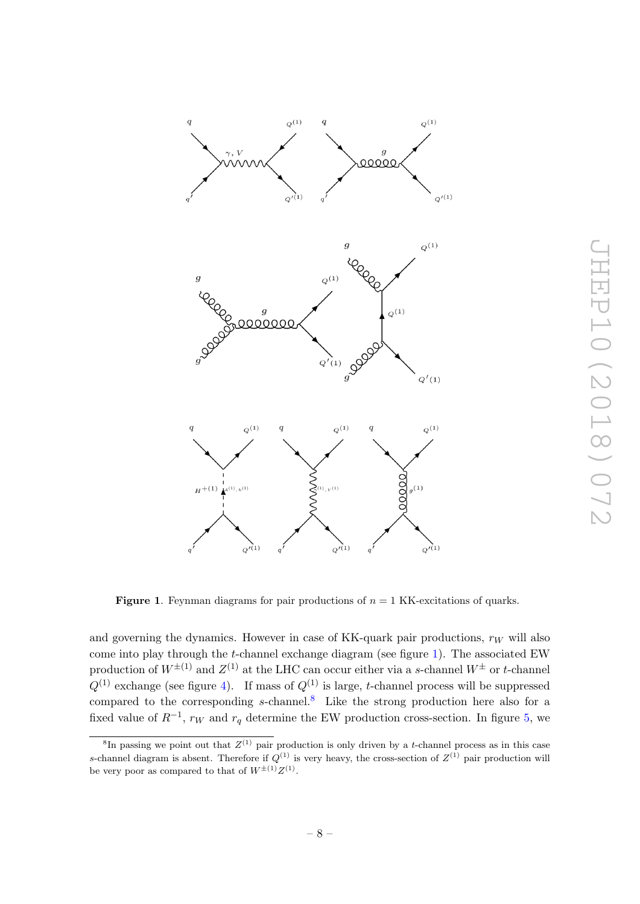

<span id="page-8-0"></span>**Figure 1.** Feynman diagrams for pair productions of  $n = 1$  KK-excitations of quarks.

and governing the dynamics. However in case of KK-quark pair productions,  $r_W$  will also come into play through the t-channel exchange diagram (see figure [1\)](#page-8-0). The associated EW production of  $W^{\pm(1)}$  and  $Z^{(1)}$  at the LHC can occur either via a s-channel  $W^{\pm}$  or t-channel  $Q^{(1)}$  exchange (see figure [4\)](#page-10-0). If mass of  $Q^{(1)}$  is large, t-channel process will be suppressed compared to the corresponding  $s$ -channel.<sup>[8](#page-8-1)</sup> Like the strong production here also for a fixed value of  $R^{-1}$ ,  $r_W$  and  $r_q$  determine the EW production cross-section. In figure [5,](#page-10-1) we

<span id="page-8-1"></span><sup>&</sup>lt;sup>8</sup>In passing we point out that  $Z^{(1)}$  pair production is only driven by a t-channel process as in this case s-channel diagram is absent. Therefore if  $Q^{(1)}$  is very heavy, the cross-section of  $Z^{(1)}$  pair production will be very poor as compared to that of  $W^{\pm (1)}Z^{(1)}$ .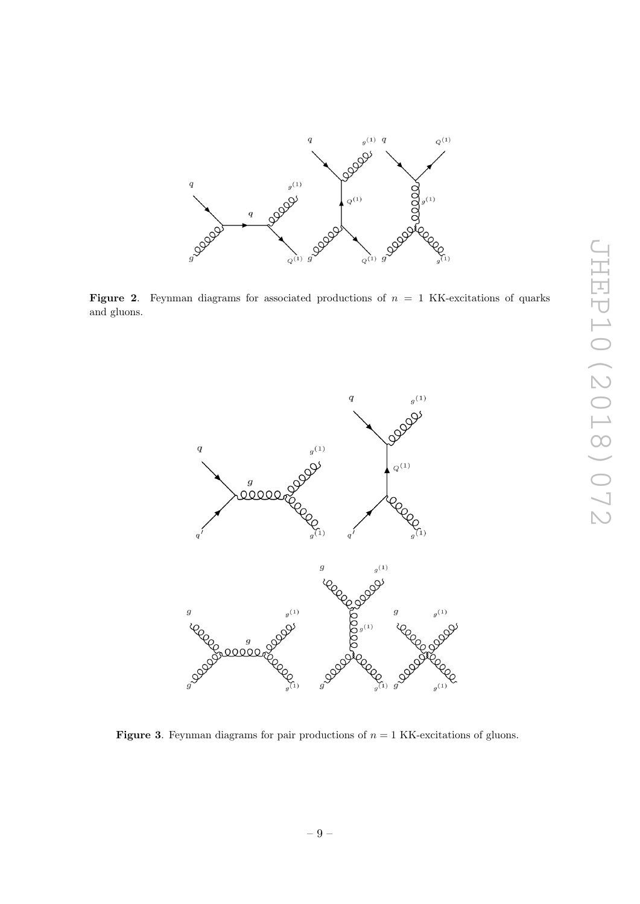

<span id="page-9-0"></span>Figure 2. Feynman diagrams for associated productions of  $n = 1$  KK-excitations of quarks and gluons.



<span id="page-9-1"></span>**Figure 3.** Feynman diagrams for pair productions of  $n = 1$  KK-excitations of gluons.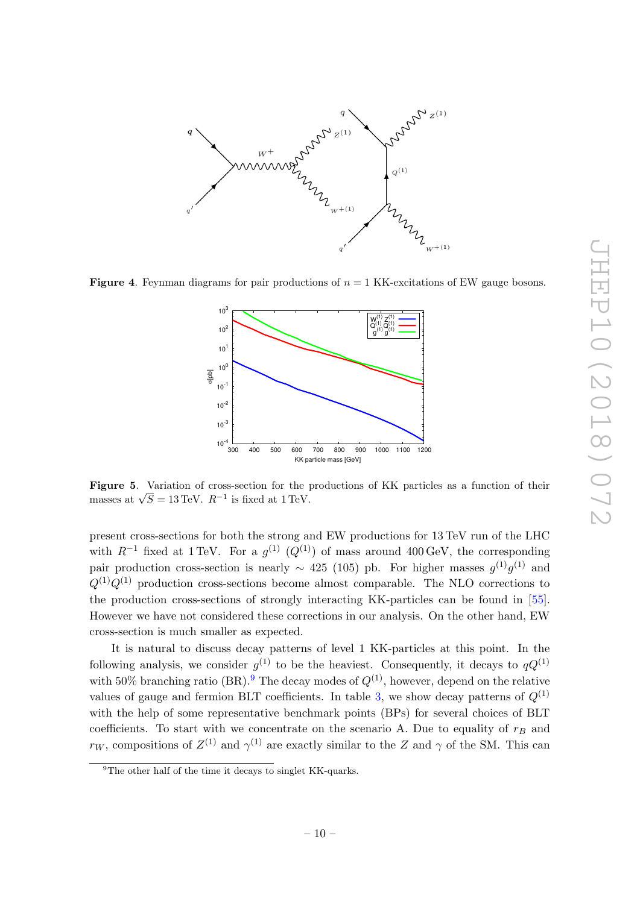

<span id="page-10-0"></span>**Figure 4.** Feynman diagrams for pair productions of  $n = 1$  KK-excitations of EW gauge bosons.



<span id="page-10-1"></span>Figure 5. Variation of cross-section for the productions of KK particles as a function of their **rigure 3.** Variation of cross-section for the junsses at  $\sqrt{S} = 13 \text{ TeV}$ .  $R^{-1}$  is fixed at 1 TeV.

present cross-sections for both the strong and EW productions for 13 TeV run of the LHC with  $R^{-1}$  fixed at 1 TeV. For a  $g^{(1)}$   $(Q^{(1)})$  of mass around 400 GeV, the corresponding pair production cross-section is nearly  $\sim$  425 (105) pb. For higher masses  $g^{(1)}g^{(1)}$  and  $Q^{(1)}Q^{(1)}$  production cross-sections become almost comparable. The NLO corrections to the production cross-sections of strongly interacting KK-particles can be found in [\[55\]](#page-22-13). However we have not considered these corrections in our analysis. On the other hand, EW cross-section is much smaller as expected.

It is natural to discuss decay patterns of level 1 KK-particles at this point. In the following analysis, we consider  $g^{(1)}$  to be the heaviest. Consequently, it decays to  $qQ^{(1)}$ with 50% branching ratio (BR).<sup>[9](#page-10-2)</sup> The decay modes of  $Q^{(1)}$ , however, depend on the relative values of gauge and fermion BLT coefficients. In table [3,](#page-11-0) we show decay patterns of  $Q^{(1)}$ with the help of some representative benchmark points (BPs) for several choices of BLT coefficients. To start with we concentrate on the scenario A. Due to equality of  $r_B$  and  $r_W$ , compositions of  $Z^{(1)}$  and  $\gamma^{(1)}$  are exactly similar to the Z and  $\gamma$  of the SM. This can

<span id="page-10-2"></span><sup>&</sup>lt;sup>9</sup>The other half of the time it decays to singlet KK-quarks.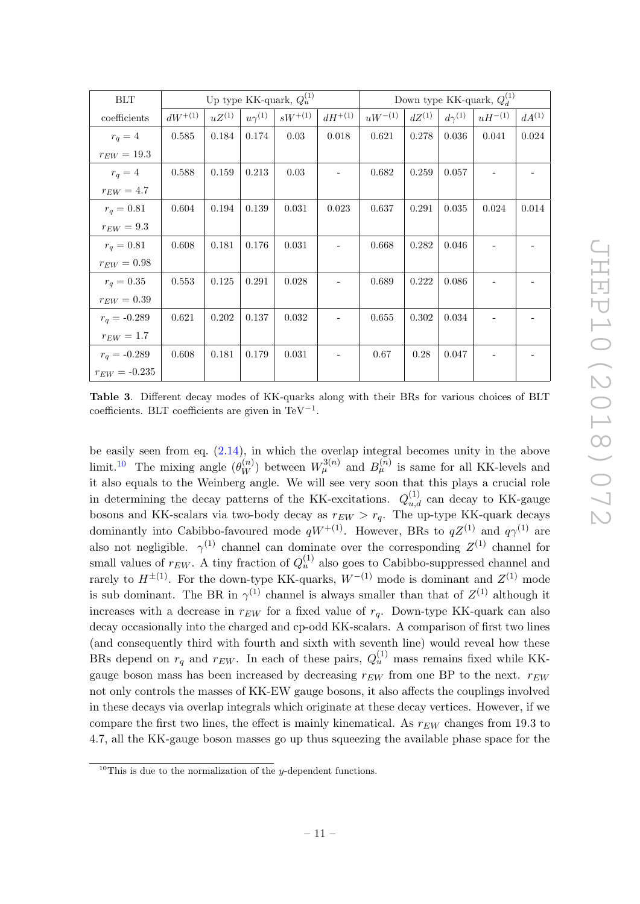| <b>BLT</b>          | Up type KK-quark, $Q_u^{(1)}$ |            |                 |             | Down type KK-quark, $Q_{\lambda}^{(1)}$ |             |            |                 |             |            |
|---------------------|-------------------------------|------------|-----------------|-------------|-----------------------------------------|-------------|------------|-----------------|-------------|------------|
| ${\rm coefficient}$ | $dW^{+(1)}$                   | $uZ^{(1)}$ | $u\gamma^{(1)}$ | $sW^{+(1)}$ | $dH^{+(1)}$                             | $uW^{-(1)}$ | $dZ^{(1)}$ | $d\gamma^{(1)}$ | $uH^{-(1)}$ | $dA^{(1)}$ |
| $r_q=4$             | 0.585                         | 0.184      | 0.174           | 0.03        | 0.018                                   | 0.621       | 0.278      | 0.036           | 0.041       | 0.024      |
| $r_{EW} = 19.3$     |                               |            |                 |             |                                         |             |            |                 |             |            |
| $r_q=4$             | 0.588                         | 0.159      | 0.213           | 0.03        |                                         | 0.682       | 0.259      | 0.057           |             |            |
| $r_{EW}=4.7$        |                               |            |                 |             |                                         |             |            |                 |             |            |
| $r_q = 0.81$        | 0.604                         | 0.194      | 0.139           | 0.031       | 0.023                                   | 0.637       | 0.291      | 0.035           | 0.024       | 0.014      |
| $r_{EW}=9.3$        |                               |            |                 |             |                                         |             |            |                 |             |            |
| $r_q = 0.81$        | 0.608                         | 0.181      | 0.176           | 0.031       |                                         | 0.668       | 0.282      | 0.046           |             |            |
| $r_{EW}=0.98\,$     |                               |            |                 |             |                                         |             |            |                 |             |            |
| $r_q = 0.35$        | 0.553                         | 0.125      | 0.291           | 0.028       |                                         | 0.689       | 0.222      | 0.086           |             |            |
| $r_{EW}=0.39\,$     |                               |            |                 |             |                                         |             |            |                 |             |            |
| $r_q = -0.289$      | 0.621                         | 0.202      | 0.137           | 0.032       |                                         | 0.655       | 0.302      | 0.034           |             |            |
| $r_{EW}=1.7$        |                               |            |                 |             |                                         |             |            |                 |             |            |
| $r_q = -0.289$      | 0.608                         | 0.181      | 0.179           | 0.031       |                                         | 0.67        | 0.28       | 0.047           |             |            |
| $r_{EW} = -0.235$   |                               |            |                 |             |                                         |             |            |                 |             |            |

<span id="page-11-0"></span>Table 3. Different decay modes of KK-quarks along with their BRs for various choices of BLT coefficients. BLT coefficients are given in TeV<sup>-1</sup>.

be easily seen from eq. [\(2.14\)](#page-6-6), in which the overlap integral becomes unity in the above limit.<sup>[10](#page-11-1)</sup> The mixing angle  $(\theta_W^{(n)})$  between  $W_\mu^{3(n)}$  and  $B_\mu^{(n)}$  is same for all KK-levels and it also equals to the Weinberg angle. We will see very soon that this plays a crucial role in determining the decay patterns of the KK-excitations.  $Q_{u,d}^{(1)}$  can decay to KK-gauge bosons and KK-scalars via two-body decay as  $r_{EW} > r_q$ . The up-type KK-quark decays dominantly into Cabibbo-favoured mode  $qW^{+(1)}$ . However, BRs to  $qZ^{(1)}$  and  $q\gamma^{(1)}$  are also not negligible.  $\gamma^{(1)}$  channel can dominate over the corresponding  $Z^{(1)}$  channel for small values of  $r_{EW}$ . A tiny fraction of  $Q_u^{(1)}$  also goes to Cabibbo-suppressed channel and rarely to  $H^{\pm (1)}$ . For the down-type KK-quarks,  $W^{-(1)}$  mode is dominant and  $Z^{(1)}$  mode is sub dominant. The BR in  $\gamma^{(1)}$  channel is always smaller than that of  $Z^{(1)}$  although it increases with a decrease in  $r_{EW}$  for a fixed value of  $r_q$ . Down-type KK-quark can also decay occasionally into the charged and cp-odd KK-scalars. A comparison of first two lines (and consequently third with fourth and sixth with seventh line) would reveal how these BRs depend on  $r_q$  and  $r_{EW}$ . In each of these pairs,  $Q_u^{(1)}$  mass remains fixed while KKgauge boson mass has been increased by decreasing  $r_{EW}$  from one BP to the next.  $r_{EW}$ not only controls the masses of KK-EW gauge bosons, it also affects the couplings involved in these decays via overlap integrals which originate at these decay vertices. However, if we compare the first two lines, the effect is mainly kinematical. As  $r_{EW}$  changes from 19.3 to 4.7, all the KK-gauge boson masses go up thus squeezing the available phase space for the

<span id="page-11-1"></span><sup>&</sup>lt;sup>10</sup>This is due to the normalization of the *y*-dependent functions.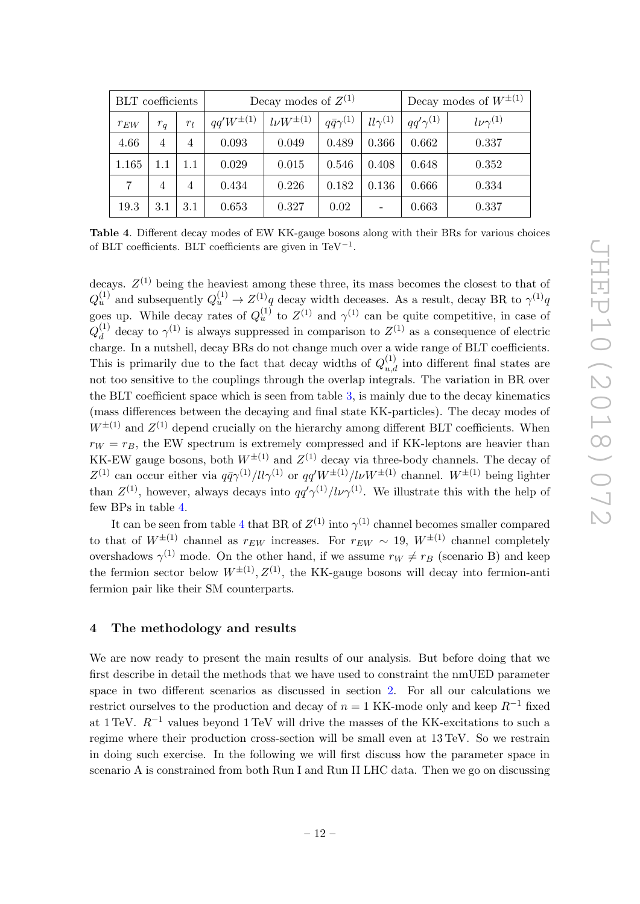| <b>BLT</b> coefficients |                |       | Decay modes of $Z^{(1)}$ |                   |                        |                              | Decay modes of $W^{\pm(1)}$ |                    |  |
|-------------------------|----------------|-------|--------------------------|-------------------|------------------------|------------------------------|-----------------------------|--------------------|--|
| $r_{EW}$                | $r_q$          | $r_l$ | $qq'W^{\pm (1)}$         | $l\nu W^{\pm(1)}$ | $q\bar{q}\gamma^{(1)}$ | $ll\gamma^{(1)}$             | $q q' \gamma^{(1)}$         | $l\nu\gamma^{(1)}$ |  |
| 4.66                    | 4              | 4     | 0.093                    | 0.049             | 0.489                  | 0.366                        | 0.662                       | 0.337              |  |
| 1.165                   | 1.1            | 1.1   | 0.029                    | 0.015             | 0.546                  | 0.408                        | 0.648                       | 0.352              |  |
| 7                       | $\overline{4}$ | 4     | 0.434                    | 0.226             | 0.182                  | 0.136                        | 0.666                       | 0.334              |  |
| 19.3                    | $3.1\,$        | 3.1   | 0.653                    | 0.327             | 0.02                   | $\qquad \qquad \blacksquare$ | 0.663                       | 0.337              |  |

<span id="page-12-1"></span>Table 4. Different decay modes of EW KK-gauge bosons along with their BRs for various choices of BLT coefficients. BLT coefficients are given in TeV<sup>-1</sup>.

decays.  $Z^{(1)}$  being the heaviest among these three, its mass becomes the closest to that of  $Q_u^{(1)}$  and subsequently  $Q_u^{(1)} \to Z^{(1)}q$  decay width deceases. As a result, decay BR to  $\gamma^{(1)}q$ goes up. While decay rates of  $Q_u^{(1)}$  to  $Z^{(1)}$  and  $\gamma^{(1)}$  can be quite competitive, in case of  $Q_d^{(1)}$  $\alpha_d^{(1)}$  decay to  $\gamma^{(1)}$  is always suppressed in comparison to  $Z^{(1)}$  as a consequence of electric charge. In a nutshell, decay BRs do not change much over a wide range of BLT coefficients. This is primarily due to the fact that decay widths of  $Q_{u,d}^{(1)}$  into different final states are not too sensitive to the couplings through the overlap integrals. The variation in BR over the BLT coefficient space which is seen from table [3,](#page-11-0) is mainly due to the decay kinematics (mass differences between the decaying and final state KK-particles). The decay modes of  $W^{\pm(1)}$  and  $Z^{(1)}$  depend crucially on the hierarchy among different BLT coefficients. When  $r_W = r_B$ , the EW spectrum is extremely compressed and if KK-leptons are heavier than KK-EW gauge bosons, both  $W^{\pm(1)}$  and  $Z^{(1)}$  decay via three-body channels. The decay of  $Z^{(1)}$  can occur either via  $q\bar{q}\gamma^{(1)}/l l\gamma^{(1)}$  or  $qq'W^{\pm (1)}/l\nu W^{\pm (1)}$  channel.  $W^{\pm (1)}$  being lighter than  $Z^{(1)}$ , however, always decays into  $qq'\gamma^{(1)}/l\nu\gamma^{(1)}$ . We illustrate this with the help of few BPs in table [4.](#page-12-1)

It can be seen from table [4](#page-12-1) that BR of  $Z^{(1)}$  into  $\gamma^{(1)}$  channel becomes smaller compared to that of  $W^{\pm(1)}$  channel as  $r_{EW}$  increases. For  $r_{EW} \sim 19$ ,  $W^{\pm(1)}$  channel completely overshadows  $\gamma^{(1)}$  mode. On the other hand, if we assume  $r_W \neq r_B$  (scenario B) and keep the fermion sector below  $W^{\pm (1)}$ ,  $Z^{(1)}$ , the KK-gauge bosons will decay into fermion-anti fermion pair like their SM counterparts.

# <span id="page-12-0"></span>4 The methodology and results

We are now ready to present the main results of our analysis. But before doing that we first describe in detail the methods that we have used to constraint the nmUED parameter space in two different scenarios as discussed in section [2.](#page-2-0) For all our calculations we restrict ourselves to the production and decay of  $n = 1$  KK-mode only and keep  $R^{-1}$  fixed at 1 TeV.  $R^{-1}$  values beyond 1 TeV will drive the masses of the KK-excitations to such a regime where their production cross-section will be small even at 13 TeV. So we restrain in doing such exercise. In the following we will first discuss how the parameter space in scenario A is constrained from both Run I and Run II LHC data. Then we go on discussing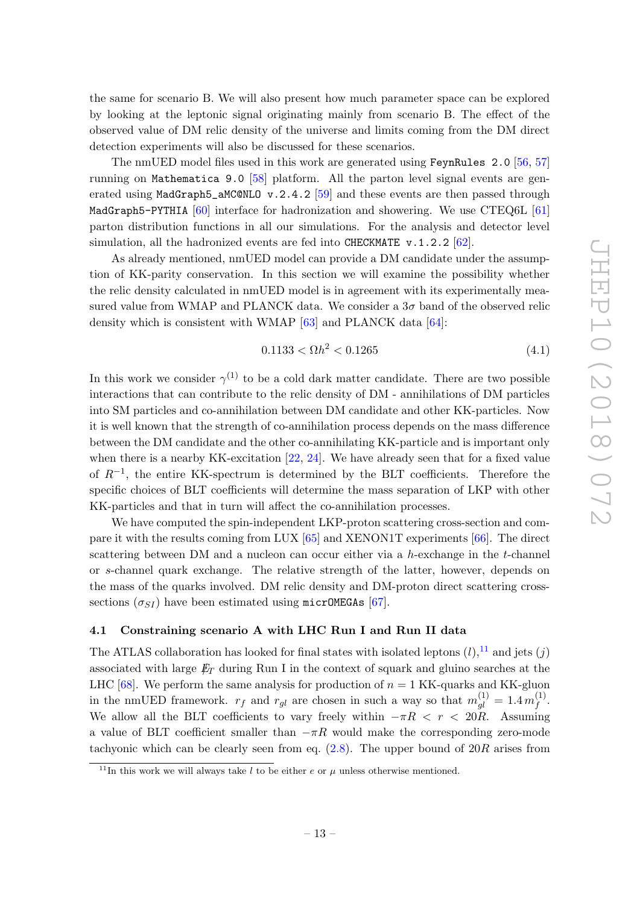the same for scenario B. We will also present how much parameter space can be explored by looking at the leptonic signal originating mainly from scenario B. The effect of the observed value of DM relic density of the universe and limits coming from the DM direct detection experiments will also be discussed for these scenarios.

The nmUED model files used in this work are generated using FeynRules 2.0 [\[56,](#page-22-14) [57\]](#page-22-15) running on Mathematica 9.0 [\[58\]](#page-22-16) platform. All the parton level signal events are generated using MadGraph5\_aMC@NLO  $v.2.4.2$  [\[59\]](#page-23-0) and these events are then passed through MadGraph5-PYTHIA [\[60\]](#page-23-1) interface for hadronization and showering. We use CTEQ6L [\[61\]](#page-23-2) parton distribution functions in all our simulations. For the analysis and detector level simulation, all the hadronized events are fed into CHECKMATE  $v.1.2.2$  [\[62\]](#page-23-3).

As already mentioned, nmUED model can provide a DM candidate under the assumption of KK-parity conservation. In this section we will examine the possibility whether the relic density calculated in nmUED model is in agreement with its experimentally measured value from WMAP and PLANCK data. We consider a  $3\sigma$  band of the observed relic density which is consistent with WMAP [\[63\]](#page-23-4) and PLANCK data [\[64\]](#page-23-5):

$$
0.1133 < \Omega h^2 < 0.1265 \tag{4.1}
$$

In this work we consider  $\gamma^{(1)}$  to be a cold dark matter candidate. There are two possible interactions that can contribute to the relic density of DM - annihilations of DM particles into SM particles and co-annihilation between DM candidate and other KK-particles. Now it is well known that the strength of co-annihilation process depends on the mass difference between the DM candidate and the other co-annihilating KK-particle and is important only when there is a nearby KK-excitation [\[22,](#page-20-6) [24\]](#page-21-10). We have already seen that for a fixed value of  $R^{-1}$ , the entire KK-spectrum is determined by the BLT coefficients. Therefore the specific choices of BLT coefficients will determine the mass separation of LKP with other KK-particles and that in turn will affect the co-annihilation processes.

We have computed the spin-independent LKP-proton scattering cross-section and compare it with the results coming from LUX [\[65\]](#page-23-6) and XENON1T experiments [\[66\]](#page-23-7). The direct scattering between DM and a nucleon can occur either via a  $h$ -exchange in the  $t$ -channel or s-channel quark exchange. The relative strength of the latter, however, depends on the mass of the quarks involved. DM relic density and DM-proton direct scattering crosssections  $(\sigma_{SI})$  have been estimated using micrOMEGAs [\[67\]](#page-23-8).

# <span id="page-13-0"></span>4.1 Constraining scenario A with LHC Run I and Run II data

The ATLAS collaboration has looked for final states with isolated leptons  $(l)$ ,<sup>[11](#page-13-1)</sup> and jets  $(i)$ associated with large  $E_T$  during Run I in the context of squark and gluino searches at the LHC [\[68\]](#page-23-9). We perform the same analysis for production of  $n = 1$  KK-quarks and KK-gluon in the nmUED framework.  $r_f$  and  $r_{gl}$  are chosen in such a way so that  $m_{gl}^{(1)} = 1.4 m_f^{(1)}$  $\stackrel{(1)}{f}$ . We allow all the BLT coefficients to vary freely within  $-\pi R < r < 20R$ . Assuming a value of BLT coefficient smaller than  $-\pi R$  would make the corresponding zero-mode tachyonic which can be clearly seen from eq.  $(2.8)$ . The upper bound of  $20R$  arises from

<span id="page-13-1"></span><sup>&</sup>lt;sup>11</sup>In this work we will always take l to be either e or  $\mu$  unless otherwise mentioned.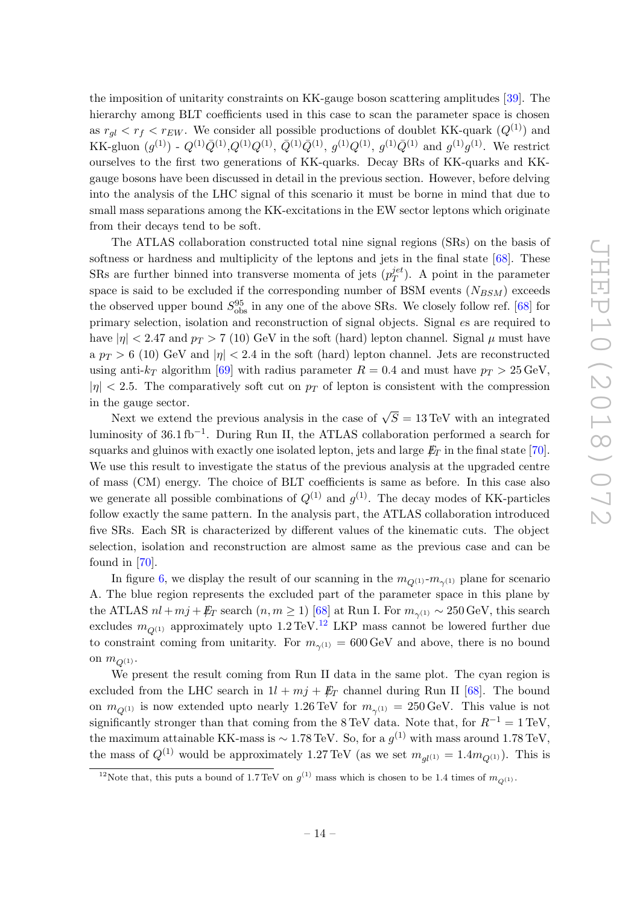the imposition of unitarity constraints on KK-gauge boson scattering amplitudes [\[39\]](#page-21-6). The hierarchy among BLT coefficients used in this case to scan the parameter space is chosen as  $r_{gl} < r_f < r_{EW}$ . We consider all possible productions of doublet KK-quark  $(Q^{(1)})$  and KK-gluon  $(g^{(1)})$  -  $Q^{(1)}\overline{Q}^{(1)}, Q^{(1)}Q^{(1)}, \overline{Q}^{(1)}\overline{Q}^{(1)}, g^{(1)}Q^{(1)}, g^{(1)}\overline{Q}^{(1)}$  and  $g^{(1)}g^{(1)}$ . We restrict ourselves to the first two generations of KK-quarks. Decay BRs of KK-quarks and KKgauge bosons have been discussed in detail in the previous section. However, before delving into the analysis of the LHC signal of this scenario it must be borne in mind that due to small mass separations among the KK-excitations in the EW sector leptons which originate from their decays tend to be soft.

The ATLAS collaboration constructed total nine signal regions (SRs) on the basis of softness or hardness and multiplicity of the leptons and jets in the final state [\[68\]](#page-23-9). These SRs are further binned into transverse momenta of jets  $(p_T^{jet})$  $T^{jet}_{T}$ ). A point in the parameter space is said to be excluded if the corresponding number of BSM events  $(N_{BSM})$  exceeds the observed upper bound  $S_{\text{obs}}^{95}$  in any one of the above SRs. We closely follow ref. [\[68\]](#page-23-9) for primary selection, isolation and reconstruction of signal objects. Signal es are required to have  $|\eta| < 2.47$  and  $p_T > 7$  (10) GeV in the soft (hard) lepton channel. Signal  $\mu$  must have a  $p_T > 6$  (10) GeV and  $|\eta| < 2.4$  in the soft (hard) lepton channel. Jets are reconstructed using anti- $k_T$  algorithm [\[69\]](#page-23-10) with radius parameter  $R = 0.4$  and must have  $p_T > 25 \,\text{GeV}$ ,  $|\eta| < 2.5$ . The comparatively soft cut on  $p_T$  of lepton is consistent with the compression in the gauge sector.

Next we extend the previous analysis in the case of  $\sqrt{S} = 13 \,\text{TeV}$  with an integrated luminosity of 36.1 fb<sup>-1</sup>. During Run II, the ATLAS collaboration performed a search for squarks and gluinos with exactly one isolated lepton, jets and large  $E_T$  in the final state [\[70\]](#page-23-11). We use this result to investigate the status of the previous analysis at the upgraded centre of mass (CM) energy. The choice of BLT coefficients is same as before. In this case also we generate all possible combinations of  $Q^{(1)}$  and  $g^{(1)}$ . The decay modes of KK-particles follow exactly the same pattern. In the analysis part, the ATLAS collaboration introduced five SRs. Each SR is characterized by different values of the kinematic cuts. The object selection, isolation and reconstruction are almost same as the previous case and can be found in [\[70\]](#page-23-11).

In figure [6,](#page-15-1) we display the result of our scanning in the  $m_{Q^{(1)}}-m_{\gamma^{(1)}}$  plane for scenario A. The blue region represents the excluded part of the parameter space in this plane by the ATLAS  $nl + mj + \not\!\!E_T$  search  $(n, m \ge 1)$  [\[68\]](#page-23-9) at Run I. For  $m_{\gamma^{(1)}} \sim 250 \,\mathrm{GeV}$ , this search excludes  $m_{\mathcal{O}^{(1)}}$  approximately upto 1.2 TeV.<sup>[12](#page-14-0)</sup> LKP mass cannot be lowered further due to constraint coming from unitarity. For  $m_{\gamma^{(1)}} = 600 \,\text{GeV}$  and above, there is no bound on  $m_{\mathcal{O}^{(1)}}$ .

We present the result coming from Run II data in the same plot. The cyan region is excluded from the LHC search in  $1l + mj + \not\!\!E_T$  channel during Run II [\[68\]](#page-23-9). The bound on  $m_{Q^{(1)}}$  is now extended upto nearly 1.26 TeV for  $m_{\gamma^{(1)}} = 250 \,\text{GeV}$ . This value is not significantly stronger than that coming from the 8 TeV data. Note that, for  $R^{-1} = 1 \text{ TeV}$ , the maximum attainable KK-mass is  $\sim 1.78 \,\text{TeV}$ . So, for a  $g^{(1)}$  with mass around 1.78 TeV, the mass of  $Q^{(1)}$  would be approximately 1.27 TeV (as we set  $m_{gl(1)} = 1.4 m_{Q(1)}$ ). This is

<span id="page-14-0"></span><sup>&</sup>lt;sup>12</sup>Note that, this puts a bound of 1.7 TeV on  $g^{(1)}$  mass which is chosen to be 1.4 times of  $m_{Q^{(1)}}$ .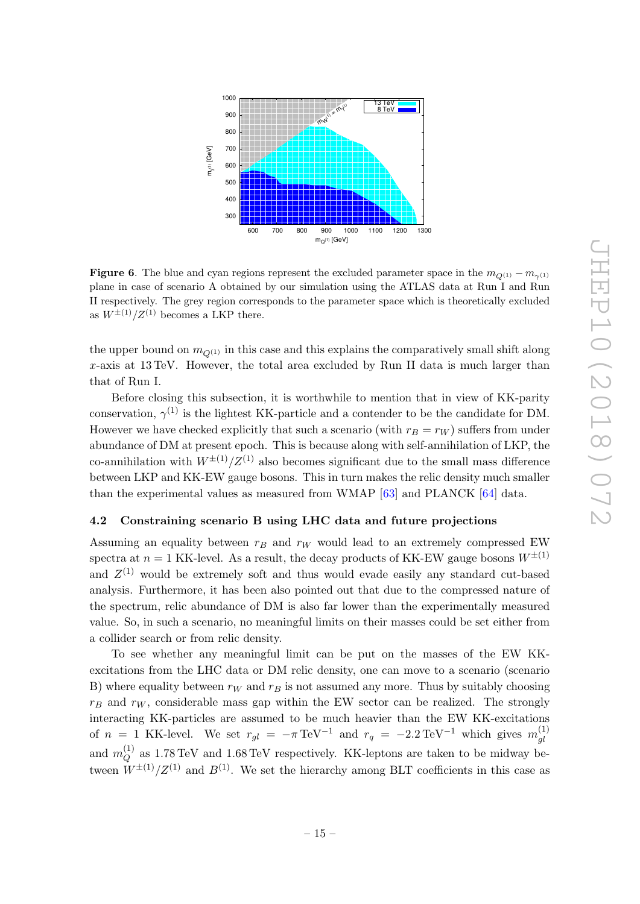

<span id="page-15-1"></span>**Figure 6.** The blue and cyan regions represent the excluded parameter space in the  $m_{Q^{(1)}} - m_{\gamma^{(1)}}$ plane in case of scenario A obtained by our simulation using the ATLAS data at Run I and Run II respectively. The grey region corresponds to the parameter space which is theoretically excluded as  $W^{\pm (1)}/Z^{(1)}$  becomes a LKP there.

the upper bound on  $m_{\mathcal{O}^{(1)}}$  in this case and this explains the comparatively small shift along x-axis at 13 TeV. However, the total area excluded by Run II data is much larger than that of Run I.

Before closing this subsection, it is worthwhile to mention that in view of KK-parity conservation,  $\gamma^{(1)}$  is the lightest KK-particle and a contender to be the candidate for DM. However we have checked explicitly that such a scenario (with  $r_B = r_W$ ) suffers from under abundance of DM at present epoch. This is because along with self-annihilation of LKP, the co-annihilation with  $W^{\pm(1)}/Z^{(1)}$  also becomes significant due to the small mass difference between LKP and KK-EW gauge bosons. This in turn makes the relic density much smaller than the experimental values as measured from WMAP [\[63\]](#page-23-4) and PLANCK [\[64\]](#page-23-5) data.

#### <span id="page-15-0"></span>4.2 Constraining scenario B using LHC data and future projections

Assuming an equality between  $r_B$  and  $r_W$  would lead to an extremely compressed EW spectra at  $n = 1$  KK-level. As a result, the decay products of KK-EW gauge bosons  $W^{\pm (1)}$ and  $Z^{(1)}$  would be extremely soft and thus would evade easily any standard cut-based analysis. Furthermore, it has been also pointed out that due to the compressed nature of the spectrum, relic abundance of DM is also far lower than the experimentally measured value. So, in such a scenario, no meaningful limits on their masses could be set either from a collider search or from relic density.

To see whether any meaningful limit can be put on the masses of the EW KKexcitations from the LHC data or DM relic density, one can move to a scenario (scenario B) where equality between  $r_W$  and  $r_B$  is not assumed any more. Thus by suitably choosing  $r_B$  and  $r_W$ , considerable mass gap within the EW sector can be realized. The strongly interacting KK-particles are assumed to be much heavier than the EW KK-excitations of  $n = 1$  KK-level. We set  $r_{gl} = -\pi \text{TeV}^{-1}$  and  $r_q = -2.2 \text{TeV}^{-1}$  which gives  $m_{gl}^{(1)}$ gl and  $m_Q^{(1)}$  $Q^{(1)}$  as 1.78 TeV and 1.68 TeV respectively. KK-leptons are taken to be midway between  $W^{\pm (1)}/Z^{(1)}$  and  $B^{(1)}$ . We set the hierarchy among BLT coefficients in this case as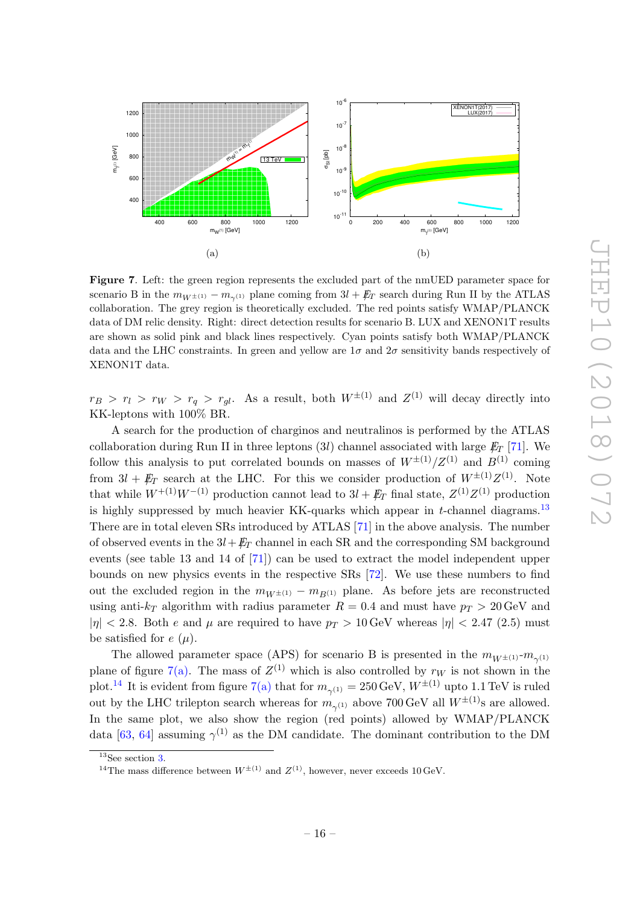<span id="page-16-1"></span>

<span id="page-16-3"></span>Figure 7. Left: the green region represents the excluded part of the nmUED parameter space for scenario B in the  $m_{W\pm(1)} - m_{\gamma(1)}$  plane coming from  $3l + \mathbb{E}_T$  search during Run II by the ATLAS collaboration. The grey region is theoretically excluded. The red points satisfy WMAP/PLANCK data of DM relic density. Right: direct detection results for scenario B. LUX and XENON1T results are shown as solid pink and black lines respectively. Cyan points satisfy both WMAP/PLANCK data and the LHC constraints. In green and yellow are  $1\sigma$  and  $2\sigma$  sensitivity bands respectively of XENON1T data.

 $r_B > r_l > r_W > r_q > r_{gl}$ . As a result, both  $W^{\pm (1)}$  and  $Z^{(1)}$  will decay directly into KK-leptons with 100% BR.

A search for the production of charginos and neutralinos is performed by the ATLAS collaboration during Run II in three leptons (3l) channel associated with large  $E_T$  [\[71\]](#page-23-12). We follow this analysis to put correlated bounds on masses of  $W^{\pm(1)}/Z^{(1)}$  and  $B^{(1)}$  coming from  $3l + \not\hspace{-1.2mm}E_T$  search at the LHC. For this we consider production of  $W^{\pm (1)}Z^{(1)}$ . Note that while  $W^{+(1)}W^{-(1)}$  production cannot lead to  $3l + \not{E}_T$  final state,  $Z^{(1)}Z^{(1)}$  production is highly suppressed by much heavier KK-quarks which appear in  $t$ -channel diagrams.<sup>[13](#page-16-0)</sup> There are in total eleven SRs introduced by ATLAS [\[71\]](#page-23-12) in the above analysis. The number of observed events in the  $3l+\cancel{E_T}$  channel in each SR and the corresponding SM background events (see table 13 and 14 of [\[71\]](#page-23-12)) can be used to extract the model independent upper bounds on new physics events in the respective SRs [\[72\]](#page-23-13). We use these numbers to find out the excluded region in the  $m_{W^{\pm(1)}} - m_{B^{(1)}}$  plane. As before jets are reconstructed using anti- $k_T$  algorithm with radius parameter  $R = 0.4$  and must have  $p_T > 20 \,\text{GeV}$  and  $|\eta|$  < 2.8. Both e and  $\mu$  are required to have  $p_T > 10$  GeV whereas  $|\eta|$  < 2.47 (2.5) must be satisfied for  $e(\mu)$ .

The allowed parameter space (APS) for scenario B is presented in the  $m_{W^{\pm (1)}}\text{-}m_{\gamma^{(1)}}$ plane of figure [7\(a\).](#page-16-1) The mass of  $Z^{(1)}$  which is also controlled by  $r_W$  is not shown in the plot.<sup>[14](#page-16-2)</sup> It is evident from figure [7\(a\)](#page-16-1) that for  $m_{\gamma^{(1)}} = 250 \,\text{GeV}, W^{\pm (1)}$  upto 1.1 TeV is ruled out by the LHC trilepton search whereas for  $m_{\gamma^{(1)}}$  above 700 GeV all  $W^{\pm (1)}$ s are allowed. In the same plot, we also show the region (red points) allowed by WMAP/PLANCK data [\[63,](#page-23-4) [64\]](#page-23-5) assuming  $\gamma^{(1)}$  as the DM candidate. The dominant contribution to the DM

<span id="page-16-0"></span> $\overline{^{13}$ See section [3.](#page-7-0)

<span id="page-16-2"></span><sup>&</sup>lt;sup>14</sup>The mass difference between  $W^{\pm (1)}$  and  $Z^{(1)}$ , however, never exceeds 10 GeV.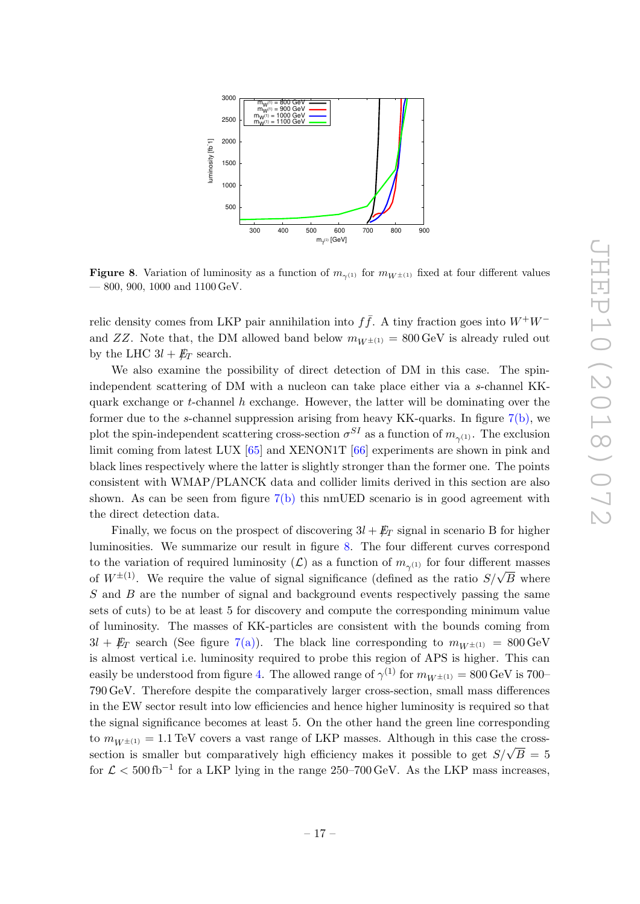

<span id="page-17-0"></span>**Figure 8.** Variation of luminosity as a function of  $m_{\gamma(1)}$  for  $m_{W^{\pm (1)}}$  fixed at four different values — 800, 900, 1000 and 1100 GeV.

relic density comes from LKP pair annihilation into  $f\bar{f}$ . A tiny fraction goes into  $W^+W^$ and ZZ. Note that, the DM allowed band below  $m_{W^{\pm}}(1) = 800 \,\text{GeV}$  is already ruled out by the LHC  $3l + \not{E}_T$  search.

We also examine the possibility of direct detection of DM in this case. The spinindependent scattering of DM with a nucleon can take place either via a s-channel KKquark exchange or t-channel  $h$  exchange. However, the latter will be dominating over the former due to the s-channel suppression arising from heavy KK-quarks. In figure [7\(b\),](#page-16-3) we plot the spin-independent scattering cross-section  $\sigma^{SI}$  as a function of  $m_{\gamma^{(1)}}$ . The exclusion limit coming from latest LUX [\[65\]](#page-23-6) and XENON1T [\[66\]](#page-23-7) experiments are shown in pink and black lines respectively where the latter is slightly stronger than the former one. The points consistent with WMAP/PLANCK data and collider limits derived in this section are also shown. As can be seen from figure  $7(b)$  this nmUED scenario is in good agreement with the direct detection data.

Finally, we focus on the prospect of discovering  $3l + \cancel{E}_T$  signal in scenario B for higher luminosities. We summarize our result in figure [8.](#page-17-0) The four different curves correspond to the variation of required luminosity  $(\mathcal{L})$  as a function of  $m_{\gamma^{(1)}}$  for four different masses of  $W^{\pm(1)}$ . We require the value of signal significance (defined as the ratio  $S/\sqrt{B}$  where S and B are the number of signal and background events respectively passing the same sets of cuts) to be at least 5 for discovery and compute the corresponding minimum value of luminosity. The masses of KK-particles are consistent with the bounds coming from  $3l + E_T$  search (See figure [7\(a\)\)](#page-16-1). The black line corresponding to  $m_{W^{\pm}(1)} = 800 \,\text{GeV}$ is almost vertical i.e. luminosity required to probe this region of APS is higher. This can easily be understood from figure [4.](#page-10-0) The allowed range of  $\gamma^{(1)}$  for  $m_{W^{\pm (1)}} = 800 \,\mathrm{GeV}$  is 700– 790 GeV. Therefore despite the comparatively larger cross-section, small mass differences in the EW sector result into low efficiencies and hence higher luminosity is required so that the signal significance becomes at least 5. On the other hand the green line corresponding to  $m_{W^{\pm (1)}} = 1.1 \text{ TeV}$  covers a vast range of LKP masses. Although in this case the crosssection is smaller but comparatively high efficiency makes it possible to get  $S/\sqrt{B} = 5$ for  $\mathcal{L} < 500 \,\mathrm{fb}^{-1}$  for a LKP lying in the range 250–700 GeV. As the LKP mass increases,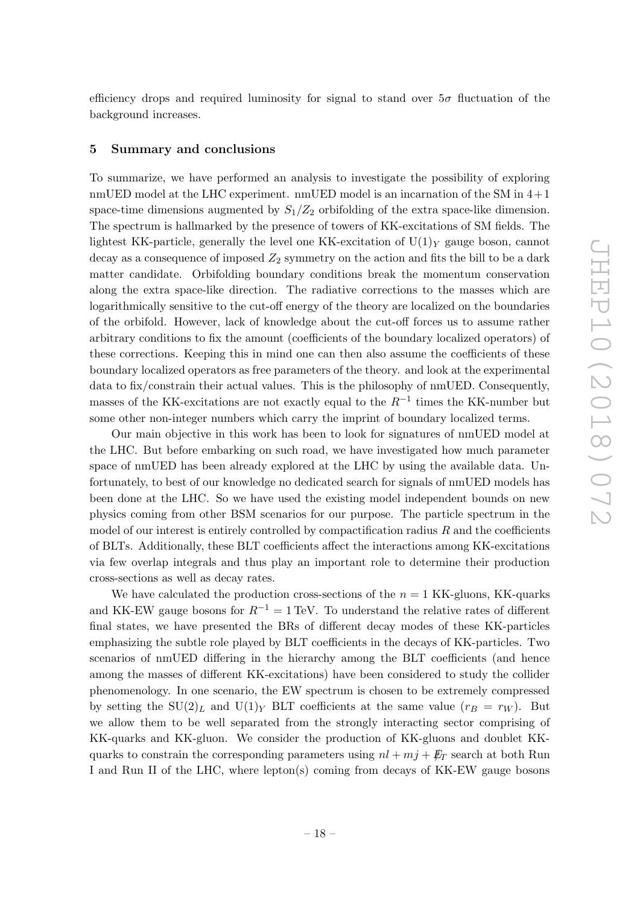efficiency drops and required luminosity for signal to stand over  $5\sigma$  fluctuation of the background increases.

#### <span id="page-18-0"></span>5 Summary and conclusions

To summarize, we have performed an analysis to investigate the possibility of exploring nmUED model at the LHC experiment. nmUED model is an incarnation of the SM in  $4+1$ space-time dimensions augmented by  $S_1/Z_2$  orbifolding of the extra space-like dimension. The spectrum is hallmarked by the presence of towers of KK-excitations of SM fields. The lightest KK-particle, generally the level one KK-excitation of  $U(1)_Y$  gauge boson, cannot decay as a consequence of imposed  $Z_2$  symmetry on the action and fits the bill to be a dark matter candidate. Orbifolding boundary conditions break the momentum conservation along the extra space-like direction. The radiative corrections to the masses which are logarithmically sensitive to the cut-off energy of the theory are localized on the boundaries of the orbifold. However, lack of knowledge about the cut-off forces us to assume rather arbitrary conditions to fix the amount (coefficients of the boundary localized operators) of these corrections. Keeping this in mind one can then also assume the coefficients of these boundary localized operators as free parameters of the theory. and look at the experimental data to fix/constrain their actual values. This is the philosophy of nmUED. Consequently, masses of the KK-excitations are not exactly equal to the  $R^{-1}$  times the KK-number but some other non-integer numbers which carry the imprint of boundary localized terms.

Our main objective in this work has been to look for signatures of nmUED model at the LHC. But before embarking on such road, we have investigated how much parameter space of nmUED has been already explored at the LHC by using the available data. Unfortunately, to best of our knowledge no dedicated search for signals of nmUED models has been done at the LHC. So we have used the existing model independent bounds on new physics coming from other BSM scenarios for our purpose. The particle spectrum in the model of our interest is entirely controlled by compactification radius  $R$  and the coefficients of BLTs. Additionally, these BLT coefficients affect the interactions among KK-excitations via few overlap integrals and thus play an important role to determine their production cross-sections as well as decay rates.

We have calculated the production cross-sections of the  $n = 1$  KK-gluons, KK-quarks and KK-EW gauge bosons for  $R^{-1} = 1 \text{ TeV}$ . To understand the relative rates of different final states, we have presented the BRs of different decay modes of these KK-particles emphasizing the subtle role played by BLT coefficients in the decays of KK-particles. Two scenarios of nmUED differing in the hierarchy among the BLT coefficients (and hence among the masses of different KK-excitations) have been considered to study the collider phenomenology. In one scenario, the EW spectrum is chosen to be extremely compressed by setting the SU(2)<sub>L</sub> and U(1)<sub>Y</sub> BLT coefficients at the same value ( $r_B = r_W$ ). But we allow them to be well separated from the strongly interacting sector comprising of KK-quarks and KK-gluon. We consider the production of KK-gluons and doublet KKquarks to constrain the corresponding parameters using  $nl + mj + \cancel{E_T}$  search at both Run I and Run II of the LHC, where lepton(s) coming from decays of KK-EW gauge bosons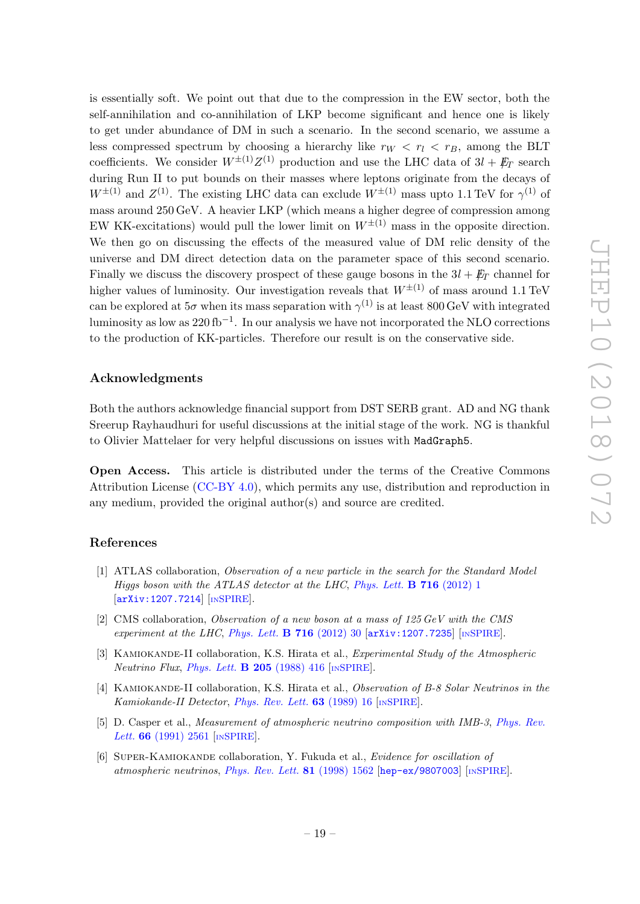is essentially soft. We point out that due to the compression in the EW sector, both the self-annihilation and co-annihilation of LKP become significant and hence one is likely to get under abundance of DM in such a scenario. In the second scenario, we assume a less compressed spectrum by choosing a hierarchy like  $r_W < r_l < r_B$ , among the BLT coefficients. We consider  $W^{\pm (1)}Z^{(1)}$  production and use the LHC data of  $3l + \not{E}_T$  search during Run II to put bounds on their masses where leptons originate from the decays of  $W^{\pm(1)}$  and  $Z^{(1)}$ . The existing LHC data can exclude  $W^{\pm(1)}$  mass upto 1.1 TeV for  $\gamma^{(1)}$  of mass around 250 GeV. A heavier LKP (which means a higher degree of compression among EW KK-excitations) would pull the lower limit on  $W^{\pm(1)}$  mass in the opposite direction. We then go on discussing the effects of the measured value of DM relic density of the universe and DM direct detection data on the parameter space of this second scenario. Finally we discuss the discovery prospect of these gauge bosons in the  $3l + \cancel{E_T}$  channel for higher values of luminosity. Our investigation reveals that  $W^{\pm(1)}$  of mass around 1.1 TeV can be explored at  $5\sigma$  when its mass separation with  $\gamma^{(1)}$  is at least 800 GeV with integrated luminosity as low as  $220\,\mathrm{fb}^{-1}$ . In our analysis we have not incorporated the NLO corrections to the production of KK-particles. Therefore our result is on the conservative side.

# Acknowledgments

Both the authors acknowledge financial support from DST SERB grant. AD and NG thank Sreerup Rayhaudhuri for useful discussions at the initial stage of the work. NG is thankful to Olivier Mattelaer for very helpful discussions on issues with MadGraph5.

Open Access. This article is distributed under the terms of the Creative Commons Attribution License [\(CC-BY 4.0\)](https://creativecommons.org/licenses/by/4.0/), which permits any use, distribution and reproduction in any medium, provided the original author(s) and source are credited.

## References

- <span id="page-19-0"></span>[1] ATLAS collaboration, Observation of a new particle in the search for the Standard Model Higgs boson with the ATLAS detector at the LHC, [Phys. Lett.](https://doi.org/10.1016/j.physletb.2012.08.020) **B** 716 (2012) 1  $\begin{bmatrix} \texttt{arXiv:1207.7214} \end{bmatrix}$  $\begin{bmatrix} \texttt{arXiv:1207.7214} \end{bmatrix}$  $\begin{bmatrix} \texttt{arXiv:1207.7214} \end{bmatrix}$  [IN[SPIRE](https://inspirehep.net/search?p=find+EPRINT+arXiv:1207.7214)].
- <span id="page-19-1"></span>[2] CMS collaboration, Observation of a new boson at a mass of 125 GeV with the CMS experiment at the LHC, [Phys. Lett.](https://doi.org/10.1016/j.physletb.2012.08.021) **B** 716 (2012) 30  $\left[$ [arXiv:1207.7235](https://arxiv.org/abs/1207.7235) $\right]$  [IN[SPIRE](https://inspirehep.net/search?p=find+EPRINT+arXiv:1207.7235)].
- <span id="page-19-2"></span>[3] KAMIOKANDE-II collaboration, K.S. Hirata et al., *Experimental Study of the Atmospheric* Neutrino Flux, [Phys. Lett.](https://doi.org/10.1016/0370-2693(88)91690-5)  $\bf{B}$  205 (1988) 416 [IN[SPIRE](https://inspirehep.net/search?p=find+J+%22Phys.Lett.,B205,416%22)].
- [4] KAMIOKANDE-II collaboration, K.S. Hirata et al., Observation of B-8 Solar Neutrinos in the Kamiokande-II Detector, [Phys. Rev. Lett.](https://doi.org/10.1103/PhysRevLett.63.16) 63 (1989) 16 [IN[SPIRE](https://inspirehep.net/search?p=find+J+%22Phys.Rev.Lett.,63,16%22)].
- [5] D. Casper et al., Measurement of atmospheric neutrino composition with IMB-3, [Phys. Rev.](https://doi.org/10.1103/PhysRevLett.66.2561) Lett. **66** [\(1991\) 2561](https://doi.org/10.1103/PhysRevLett.66.2561) [IN[SPIRE](https://inspirehep.net/search?p=find+J+%22Phys.Rev.Lett.,66,2561%22)].
- [6] Super-Kamiokande collaboration, Y. Fukuda et al., Evidence for oscillation of atmospheric neutrinos, [Phys. Rev. Lett.](https://doi.org/10.1103/PhysRevLett.81.1562) 81 (1998) 1562 [[hep-ex/9807003](https://arxiv.org/abs/hep-ex/9807003)] [IN[SPIRE](https://inspirehep.net/search?p=find+EPRINT+hep-ex/9807003)].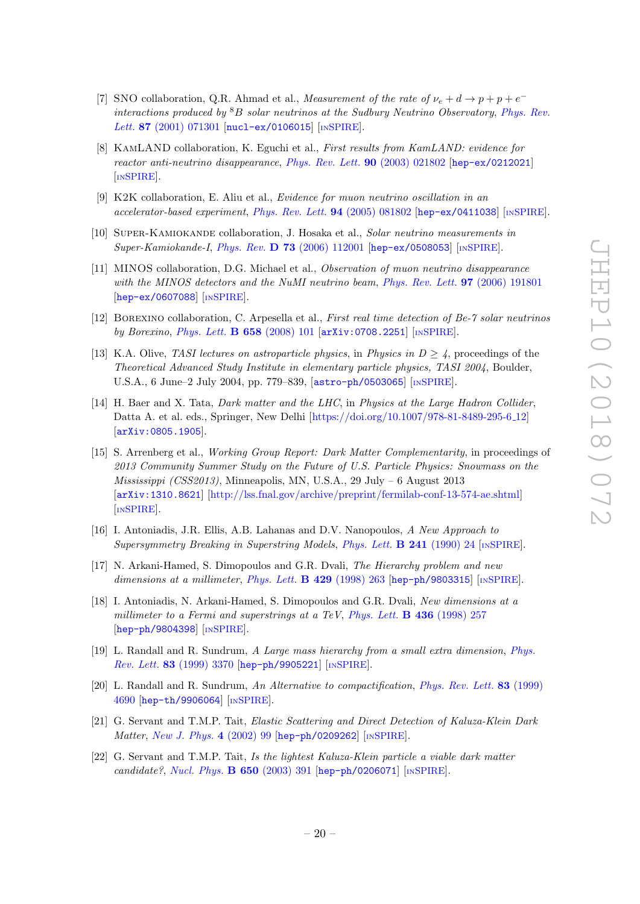- [7] SNO collaboration, Q.R. Ahmad et al., Measurement of the rate of  $\nu_e + d \rightarrow p + p + e^$ interactions produced by  ${}^{8}B$  solar neutrinos at the Sudbury Neutrino Observatory, [Phys. Rev.](https://doi.org/10.1103/PhysRevLett.87.071301) Lett. 87 [\(2001\) 071301](https://doi.org/10.1103/PhysRevLett.87.071301) [[nucl-ex/0106015](https://arxiv.org/abs/nucl-ex/0106015)] [IN[SPIRE](https://inspirehep.net/search?p=find+EPRINT+nucl-ex/0106015)].
- [8] KamLAND collaboration, K. Eguchi et al., First results from KamLAND: evidence for reactor anti-neutrino disappearance, [Phys. Rev. Lett.](https://doi.org/10.1103/PhysRevLett.90.021802) 90 (2003) 021802 [[hep-ex/0212021](https://arxiv.org/abs/hep-ex/0212021)] [IN[SPIRE](https://inspirehep.net/search?p=find+EPRINT+hep-ex/0212021)].
- [9] K2K collaboration, E. Aliu et al., Evidence for muon neutrino oscillation in an accelerator-based experiment, [Phys. Rev. Lett.](https://doi.org/10.1103/PhysRevLett.94.081802) 94 (2005) 081802 [[hep-ex/0411038](https://arxiv.org/abs/hep-ex/0411038)] [IN[SPIRE](https://inspirehep.net/search?p=find+EPRINT+hep-ex/0411038)].
- [10] Super-Kamiokande collaboration, J. Hosaka et al., Solar neutrino measurements in Super-Kamiokande-I, Phys. Rev. D 73 [\(2006\) 112001](https://doi.org/10.1103/PhysRevD.73.112001) [[hep-ex/0508053](https://arxiv.org/abs/hep-ex/0508053)] [IN[SPIRE](https://inspirehep.net/search?p=find+EPRINT+hep-ex/0508053)].
- [11] MINOS collaboration, D.G. Michael et al., Observation of muon neutrino disappearance with the MINOS detectors and the NuMI neutrino beam, [Phys. Rev. Lett.](https://doi.org/10.1103/PhysRevLett.97.191801) **97** (2006) 191801 [[hep-ex/0607088](https://arxiv.org/abs/hep-ex/0607088)] [IN[SPIRE](https://inspirehep.net/search?p=find+EPRINT+hep-ex/0607088)].
- <span id="page-20-0"></span>[12] Borexino collaboration, C. Arpesella et al., First real time detection of Be-7 solar neutrinos by Borexino, [Phys. Lett.](https://doi.org/10.1016/j.physletb.2007.09.054) B 658 (2008) 101 [[arXiv:0708.2251](https://arxiv.org/abs/0708.2251)] [IN[SPIRE](https://inspirehep.net/search?p=find+EPRINT+arXiv:0708.2251)].
- <span id="page-20-1"></span>[13] K.A. Olive, TASI lectures on astroparticle physics, in Physics in  $D \geq 4$ , proceedings of the Theoretical Advanced Study Institute in elementary particle physics, TASI 2004, Boulder, U.S.A., 6 June–2 July 2004, pp. 779–839, [[astro-ph/0503065](https://arxiv.org/abs/astro-ph/0503065)] [IN[SPIRE](https://inspirehep.net/search?p=find+EPRINT+astro-ph/0503065)].
- [14] H. Baer and X. Tata, *Dark matter and the LHC*, in *Physics at the Large Hadron Collider*, Datta A. et al. eds., Springer, New Delhi [\[https://doi.org/10.1007/978-81-8489-295-6](https://doi.org/10.1007/978-81-8489-295-6_12) 12] [[arXiv:0805.1905](https://arxiv.org/abs/0805.1905)].
- <span id="page-20-2"></span>[15] S. Arrenberg et al., Working Group Report: Dark Matter Complementarity, in proceedings of 2013 Community Summer Study on the Future of U.S. Particle Physics: Snowmass on the Mississippi  $(CSS2013)$ , Minneapolis, MN, U.S.A., 29 July – 6 August 2013 [[arXiv:1310.8621](https://arxiv.org/abs/1310.8621)] [\[http://lss.fnal.gov/archive/preprint/fermilab-conf-13-574-ae.shtml\]](http://lss.fnal.gov/archive/preprint/fermilab-conf-13-574-ae.shtml) [IN[SPIRE](https://inspirehep.net/search?p=find+EPRINT+arXiv:1310.8621)].
- <span id="page-20-3"></span>[16] I. Antoniadis, J.R. Ellis, A.B. Lahanas and D.V. Nanopoulos, A New Approach to Supersymmetry Breaking in Superstring Models, [Phys. Lett.](https://doi.org/10.1016/0370-2693(90)91480-Y) B 241 (1990) 24 [IN[SPIRE](https://inspirehep.net/search?p=find+J+%22Phys.Lett.,B241,24%22)].
- [17] N. Arkani-Hamed, S. Dimopoulos and G.R. Dvali, The Hierarchy problem and new dimensions at a millimeter, [Phys. Lett.](https://doi.org/10.1016/S0370-2693(98)00466-3)  $\bf{B}$  429 (1998) 263 [[hep-ph/9803315](https://arxiv.org/abs/hep-ph/9803315)] [IN[SPIRE](https://inspirehep.net/search?p=find+EPRINT+hep-ph/9803315)].
- [18] I. Antoniadis, N. Arkani-Hamed, S. Dimopoulos and G.R. Dvali, New dimensions at a millimeter to a Fermi and superstrings at a TeV, [Phys. Lett.](https://doi.org/10.1016/S0370-2693(98)00860-0) **B** 436 (1998) 257 [[hep-ph/9804398](https://arxiv.org/abs/hep-ph/9804398)] [IN[SPIRE](https://inspirehep.net/search?p=find+EPRINT+hep-ph/9804398)].
- [19] L. Randall and R. Sundrum, A Large mass hierarchy from a small extra dimension, [Phys.](https://doi.org/10.1103/PhysRevLett.83.3370) Rev. Lett. 83 [\(1999\) 3370](https://doi.org/10.1103/PhysRevLett.83.3370) [[hep-ph/9905221](https://arxiv.org/abs/hep-ph/9905221)] [IN[SPIRE](https://inspirehep.net/search?p=find+EPRINT+hep-ph/9905221)].
- <span id="page-20-4"></span>[20] L. Randall and R. Sundrum, An Alternative to compactification, [Phys. Rev. Lett.](https://doi.org/10.1103/PhysRevLett.83.4690) 83 (1999) [4690](https://doi.org/10.1103/PhysRevLett.83.4690) [[hep-th/9906064](https://arxiv.org/abs/hep-th/9906064)] [IN[SPIRE](https://inspirehep.net/search?p=find+EPRINT+hep-th/9906064)].
- <span id="page-20-5"></span>[21] G. Servant and T.M.P. Tait, Elastic Scattering and Direct Detection of Kaluza-Klein Dark Matter, [New J. Phys.](https://doi.org/10.1088/1367-2630/4/1/399) 4 (2002) 99 [[hep-ph/0209262](https://arxiv.org/abs/hep-ph/0209262)] [IN[SPIRE](https://inspirehep.net/search?p=find+EPRINT+hep-ph/0209262)].
- <span id="page-20-6"></span>[22] G. Servant and T.M.P. Tait, Is the lightest Kaluza-Klein particle a viable dark matter candidate?, [Nucl. Phys.](https://doi.org/10.1016/S0550-3213(02)01012-X) **B** 650 (2003) 391 [[hep-ph/0206071](https://arxiv.org/abs/hep-ph/0206071)] [IN[SPIRE](https://inspirehep.net/search?p=find+EPRINT+hep-ph/0206071)].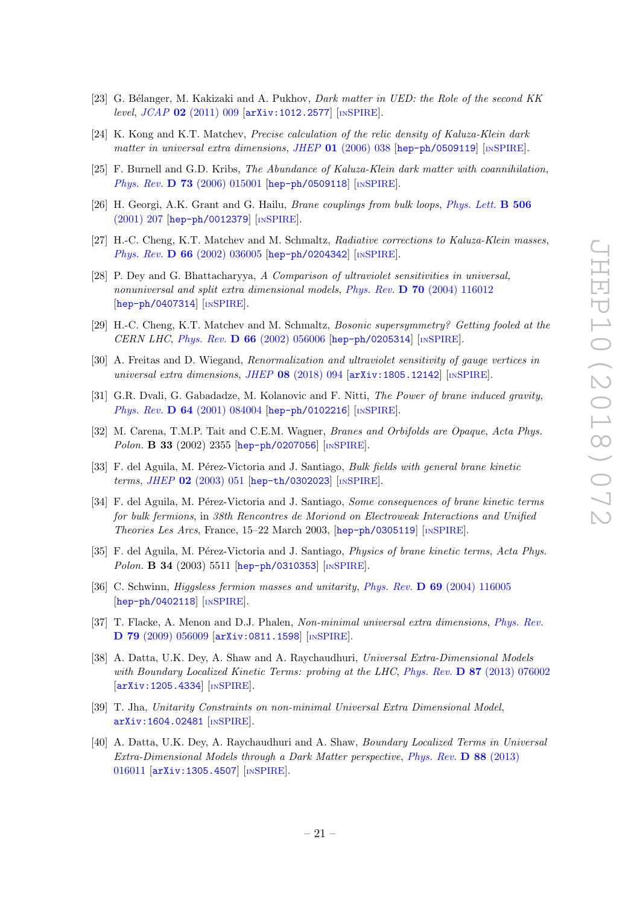- [23] G. Bélanger, M. Kakizaki and A. Pukhov, *Dark matter in UED: the Role of the second KK* level, JCAP 02 [\(2011\) 009](https://doi.org/10.1088/1475-7516/2011/02/009) [[arXiv:1012.2577](https://arxiv.org/abs/1012.2577)] [IN[SPIRE](https://inspirehep.net/search?p=find+EPRINT+arXiv:1012.2577)].
- <span id="page-21-10"></span>[24] K. Kong and K.T. Matchev, Precise calculation of the relic density of Kaluza-Klein dark matter in universal extra dimensions, JHEP  $01$  [\(2006\) 038](https://doi.org/10.1088/1126-6708/2006/01/038) [[hep-ph/0509119](https://arxiv.org/abs/hep-ph/0509119)] [IN[SPIRE](https://inspirehep.net/search?p=find+EPRINT+hep-ph/0509119)].
- <span id="page-21-0"></span>[25] F. Burnell and G.D. Kribs, The Abundance of Kaluza-Klein dark matter with coannihilation, Phys. Rev. **D 73** [\(2006\) 015001](https://doi.org/10.1103/PhysRevD.73.015001) [[hep-ph/0509118](https://arxiv.org/abs/hep-ph/0509118)] [IN[SPIRE](https://inspirehep.net/search?p=find+EPRINT+hep-ph/0509118)].
- <span id="page-21-1"></span>[26] H. Georgi, A.K. Grant and G. Hailu, *Brane couplings from bulk loops*, *[Phys. Lett.](https://doi.org/10.1016/S0370-2693(01)00408-7)* **B 506** [\(2001\) 207](https://doi.org/10.1016/S0370-2693(01)00408-7) [[hep-ph/0012379](https://arxiv.org/abs/hep-ph/0012379)] [IN[SPIRE](https://inspirehep.net/search?p=find+EPRINT+hep-ph/0012379)].
- <span id="page-21-2"></span>[27] H.-C. Cheng, K.T. Matchev and M. Schmaltz, Radiative corrections to Kaluza-Klein masses, Phys. Rev. **D 66** [\(2002\) 036005](https://doi.org/10.1103/PhysRevD.66.036005) [[hep-ph/0204342](https://arxiv.org/abs/hep-ph/0204342)] [IN[SPIRE](https://inspirehep.net/search?p=find+EPRINT+hep-ph/0204342)].
- <span id="page-21-8"></span>[28] P. Dey and G. Bhattacharyya, A Comparison of ultraviolet sensitivities in universal, nonuniversal and split extra dimensional models, Phys. Rev.  $\bf{D}$  70 [\(2004\) 116012](https://doi.org/10.1103/PhysRevD.70.116012) [[hep-ph/0407314](https://arxiv.org/abs/hep-ph/0407314)] [IN[SPIRE](https://inspirehep.net/search?p=find+EPRINT+hep-ph/0407314)].
- <span id="page-21-3"></span>[29] H.-C. Cheng, K.T. Matchev and M. Schmaltz, Bosonic supersymmetry? Getting fooled at the CERN LHC, Phys. Rev. D 66 [\(2002\) 056006](https://doi.org/10.1103/PhysRevD.66.056006) [[hep-ph/0205314](https://arxiv.org/abs/hep-ph/0205314)] [IN[SPIRE](https://inspirehep.net/search?p=find+J+%22Phys.Rev.,D66,056006%22)].
- <span id="page-21-9"></span>[30] A. Freitas and D. Wiegand, Renormalization and ultraviolet sensitivity of gauge vertices in universal extra dimensions, JHEP  $08$  [\(2018\) 094](https://doi.org/10.1007/JHEP08(2018)094)  $\text{arXiv:1805.12142}$  $\text{arXiv:1805.12142}$  $\text{arXiv:1805.12142}$  [IN[SPIRE](https://inspirehep.net/search?p=find+EPRINT+arXiv:1805.12142)].
- <span id="page-21-4"></span>[31] G.R. Dvali, G. Gabadadze, M. Kolanovic and F. Nitti, The Power of brane induced gravity, Phys. Rev. **D 64** [\(2001\) 084004](https://doi.org/10.1103/PhysRevD.64.084004) [[hep-ph/0102216](https://arxiv.org/abs/hep-ph/0102216)] [IN[SPIRE](https://inspirehep.net/search?p=find+EPRINT+hep-ph/0102216)].
- [32] M. Carena, T.M.P. Tait and C.E.M. Wagner, Branes and Orbifolds are Opaque, Acta Phys. Polon. **B 33** (2002) 2355 [[hep-ph/0207056](https://arxiv.org/abs/hep-ph/0207056)] [IN[SPIRE](https://inspirehep.net/search?p=find+EPRINT+hep-ph/0207056)].
- [33] F. del Aguila, M. Pérez-Victoria and J. Santiago, *Bulk fields with general brane kinetic* terms, JHEP 02 [\(2003\) 051](https://doi.org/10.1088/1126-6708/2003/02/051) [[hep-th/0302023](https://arxiv.org/abs/hep-th/0302023)] [IN[SPIRE](https://inspirehep.net/search?p=find+EPRINT+hep-th/0302023)].
- [34] F. del Aguila, M. Pérez-Victoria and J. Santiago, Some consequences of brane kinetic terms for bulk fermions, in 38th Rencontres de Moriond on Electroweak Interactions and Unified Theories Les Arcs, France, 15–22 March 2003, [[hep-ph/0305119](https://arxiv.org/abs/hep-ph/0305119)] [IN[SPIRE](https://inspirehep.net/search?p=find+EPRINT+hep-ph/0305119)].
- [35] F. del Aguila, M. Pérez-Victoria and J. Santiago, Physics of brane kinetic terms, Acta Phys. Polon. **B** 34 (2003) 5511 [[hep-ph/0310353](https://arxiv.org/abs/hep-ph/0310353)] [IN[SPIRE](https://inspirehep.net/search?p=find+EPRINT+hep-ph/0310353)].
- [36] C. Schwinn, *Higgsless fermion masses and unitarity, Phys. Rev.* **D 69** [\(2004\) 116005](https://doi.org/10.1103/PhysRevD.69.116005) [[hep-ph/0402118](https://arxiv.org/abs/hep-ph/0402118)] [IN[SPIRE](https://inspirehep.net/search?p=find+EPRINT+hep-ph/0402118)].
- [37] T. Flacke, A. Menon and D.J. Phalen, Non-minimal universal extra dimensions, [Phys. Rev.](https://doi.org/10.1103/PhysRevD.79.056009) D 79 [\(2009\) 056009](https://doi.org/10.1103/PhysRevD.79.056009) [[arXiv:0811.1598](https://arxiv.org/abs/0811.1598)] [IN[SPIRE](https://inspirehep.net/search?p=find+EPRINT+arXiv:0811.1598)].
- <span id="page-21-5"></span>[38] A. Datta, U.K. Dey, A. Shaw and A. Raychaudhuri, Universal Extra-Dimensional Models with Boundary Localized Kinetic Terms: probing at the LHC, Phys. Rev. D 87 [\(2013\) 076002](https://doi.org/10.1103/PhysRevD.87.076002) [[arXiv:1205.4334](https://arxiv.org/abs/1205.4334)] [IN[SPIRE](https://inspirehep.net/search?p=find+EPRINT+arXiv:1205.4334)].
- <span id="page-21-6"></span>[39] T. Jha, Unitarity Constraints on non-minimal Universal Extra Dimensional Model, [arXiv:1604.02481](https://arxiv.org/abs/1604.02481) [IN[SPIRE](https://inspirehep.net/search?p=find+EPRINT+arXiv:1604.02481)].
- <span id="page-21-7"></span>[40] A. Datta, U.K. Dey, A. Raychaudhuri and A. Shaw, Boundary Localized Terms in Universal Extra-Dimensional Models through a Dark Matter perspective, [Phys. Rev.](https://doi.org/10.1103/PhysRevD.88.016011) D 88 (2013) [016011](https://doi.org/10.1103/PhysRevD.88.016011) [[arXiv:1305.4507](https://arxiv.org/abs/1305.4507)] [IN[SPIRE](https://inspirehep.net/search?p=find+EPRINT+arXiv:1305.4507)].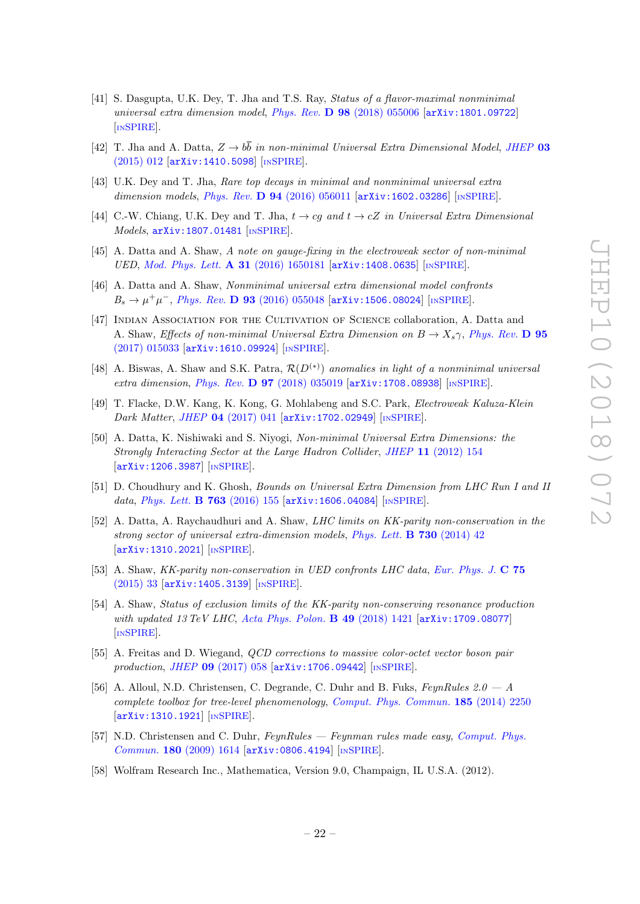- <span id="page-22-0"></span>[41] S. Dasgupta, U.K. Dey, T. Jha and T.S. Ray, Status of a flavor-maximal nonminimal universal extra dimension model, Phys. Rev. D 98 [\(2018\) 055006](https://doi.org/10.1103/PhysRevD.98.055006) [[arXiv:1801.09722](https://arxiv.org/abs/1801.09722)] [IN[SPIRE](https://inspirehep.net/search?p=find+EPRINT+arXiv:1801.09722)].
- <span id="page-22-1"></span>[42] T. Jha and A. Datta,  $Z \rightarrow b\bar{b}$  in non-minimal Universal Extra Dimensional Model, [JHEP](https://doi.org/10.1007/JHEP03(2015)012) 03 [\(2015\) 012](https://doi.org/10.1007/JHEP03(2015)012) [[arXiv:1410.5098](https://arxiv.org/abs/1410.5098)] [IN[SPIRE](https://inspirehep.net/search?p=find+EPRINT+arXiv:1410.5098)].
- <span id="page-22-2"></span>[43] U.K. Dey and T. Jha, Rare top decays in minimal and nonminimal universal extra dimension models, Phys. Rev.  $\bf{D}$  94 [\(2016\) 056011](https://doi.org/10.1103/PhysRevD.94.056011) [[arXiv:1602.03286](https://arxiv.org/abs/1602.03286)] [IN[SPIRE](https://inspirehep.net/search?p=find+EPRINT+arXiv:1602.03286)].
- <span id="page-22-3"></span>[44] C.-W. Chiang, U.K. Dey and T. Jha,  $t \to cg$  and  $t \to cZ$  in Universal Extra Dimensional Models, [arXiv:1807.01481](https://arxiv.org/abs/1807.01481) [IN[SPIRE](https://inspirehep.net/search?p=find+EPRINT+arXiv:1807.01481)].
- <span id="page-22-4"></span>[45] A. Datta and A. Shaw, A note on gauge-fixing in the electroweak sector of non-minimal UED, [Mod. Phys. Lett.](https://doi.org/10.1142/S0217732316501819) A 31 (2016) 1650181 [[arXiv:1408.0635](https://arxiv.org/abs/1408.0635)] [IN[SPIRE](https://inspirehep.net/search?p=find+EPRINT+arXiv:1408.0635)].
- <span id="page-22-5"></span>[46] A. Datta and A. Shaw, Nonminimal universal extra dimensional model confronts  $B_s \to \mu^+ \mu^-$ , *Phys. Rev.* **D 93** [\(2016\) 055048](https://doi.org/10.1103/PhysRevD.93.055048) [[arXiv:1506.08024](https://arxiv.org/abs/1506.08024)] [IN[SPIRE](https://inspirehep.net/search?p=find+EPRINT+arXiv:1506.08024)].
- <span id="page-22-6"></span>[47] Indian Association for the Cultivation of Science collaboration, A. Datta and A. Shaw, Effects of non-minimal Universal Extra Dimension on  $B \to X_s \gamma$ , [Phys. Rev.](https://doi.org/10.1103/PhysRevD.95.015033) D 95 [\(2017\) 015033](https://doi.org/10.1103/PhysRevD.95.015033) [[arXiv:1610.09924](https://arxiv.org/abs/1610.09924)] [IN[SPIRE](https://inspirehep.net/search?p=find+EPRINT+arXiv:1610.09924)].
- <span id="page-22-7"></span>[48] A. Biswas, A. Shaw and S.K. Patra,  $\mathcal{R}(D^{(*)})$  anomalies in light of a nonminimal universal extra dimension, Phys. Rev. D 97 [\(2018\) 035019](https://doi.org/10.1103/PhysRevD.97.035019) [[arXiv:1708.08938](https://arxiv.org/abs/1708.08938)] [IN[SPIRE](https://inspirehep.net/search?p=find+EPRINT+arXiv:1708.08938)].
- <span id="page-22-8"></span>[49] T. Flacke, D.W. Kang, K. Kong, G. Mohlabeng and S.C. Park, Electroweak Kaluza-Klein Dark Matter, JHEP 04 [\(2017\) 041](https://doi.org/10.1007/JHEP04(2017)041) [[arXiv:1702.02949](https://arxiv.org/abs/1702.02949)] [IN[SPIRE](https://inspirehep.net/search?p=find+EPRINT+arXiv:1702.02949)].
- <span id="page-22-9"></span>[50] A. Datta, K. Nishiwaki and S. Niyogi, Non-minimal Universal Extra Dimensions: the Strongly Interacting Sector at the Large Hadron Collider, JHEP 11 [\(2012\) 154](https://doi.org/10.1007/JHEP11(2012)154) [[arXiv:1206.3987](https://arxiv.org/abs/1206.3987)] [IN[SPIRE](https://inspirehep.net/search?p=find+EPRINT+arXiv:1206.3987)].
- <span id="page-22-10"></span>[51] D. Choudhury and K. Ghosh, Bounds on Universal Extra Dimension from LHC Run I and II data, [Phys. Lett.](https://doi.org/10.1016/j.physletb.2016.10.010) **B 763** (2016) 155 [[arXiv:1606.04084](https://arxiv.org/abs/1606.04084)] [IN[SPIRE](https://inspirehep.net/search?p=find+EPRINT+arXiv:1606.04084)].
- <span id="page-22-11"></span>[52] A. Datta, A. Raychaudhuri and A. Shaw, *LHC limits on KK-parity non-conservation in the* strong sector of universal extra-dimension models, [Phys. Lett.](https://doi.org/10.1016/j.physletb.2014.01.027) B 730 (2014) 42 [[arXiv:1310.2021](https://arxiv.org/abs/1310.2021)] [IN[SPIRE](https://inspirehep.net/search?p=find+EPRINT+arXiv:1310.2021)].
- [53] A. Shaw, KK-parity non-conservation in UED confronts LHC data, [Eur. Phys. J.](https://doi.org/10.1140/epjc/s10052-014-3245-0) C 75 [\(2015\) 33](https://doi.org/10.1140/epjc/s10052-014-3245-0) [[arXiv:1405.3139](https://arxiv.org/abs/1405.3139)] [IN[SPIRE](https://inspirehep.net/search?p=find+EPRINT+arXiv:1405.3139)].
- <span id="page-22-12"></span>[54] A. Shaw, Status of exclusion limits of the KK-parity non-conserving resonance production with updated 13 TeV LHC, [Acta Phys. Polon.](https://doi.org/10.5506/APhysPolB.49.1421) B 49 (2018) 1421 [[arXiv:1709.08077](https://arxiv.org/abs/1709.08077)] [IN[SPIRE](https://inspirehep.net/search?p=find+EPRINT+arXiv:1709.08077)].
- <span id="page-22-13"></span>[55] A. Freitas and D. Wiegand, QCD corrections to massive color-octet vector boson pair production, JHEP 09 [\(2017\) 058](https://doi.org/10.1007/JHEP09(2017)058) [[arXiv:1706.09442](https://arxiv.org/abs/1706.09442)] [IN[SPIRE](https://inspirehep.net/search?p=find+EPRINT+arXiv:1706.09442)].
- <span id="page-22-14"></span>[56] A. Alloul, N.D. Christensen, C. Degrande, C. Duhr and B. Fuks,  $FeynRules 2.0 - A$ complete toolbox for tree-level phenomenology, [Comput. Phys. Commun.](https://doi.org/10.1016/j.cpc.2014.04.012) 185 (2014) 2250 [[arXiv:1310.1921](https://arxiv.org/abs/1310.1921)] [IN[SPIRE](https://inspirehep.net/search?p=find+EPRINT+arXiv:1310.1921)].
- <span id="page-22-15"></span>[57] N.D. Christensen and C. Duhr, FeynRules — Feynman rules made easy, [Comput. Phys.](https://doi.org/10.1016/j.cpc.2009.02.018) Commun. 180 [\(2009\) 1614](https://doi.org/10.1016/j.cpc.2009.02.018) [[arXiv:0806.4194](https://arxiv.org/abs/0806.4194)] [IN[SPIRE](https://inspirehep.net/search?p=find+EPRINT+arXiv:0806.4194)].
- <span id="page-22-16"></span>[58] Wolfram Research Inc., Mathematica, Version 9.0, Champaign, IL U.S.A. (2012).